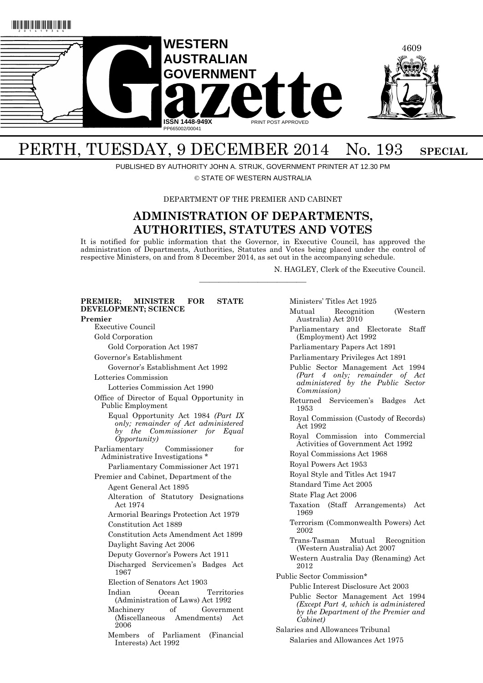

# PERTH, TUESDAY, 9 DECEMBER 2014 No. 193 SPECIAL

PUBLISHED BY AUTHORITY JOHN A. STRIJK, GOVERNMENT PRINTER AT 12.30 PM

© STATE OF WESTERN AUSTRALIA

DEPARTMENT OF THE PREMIER AND CABINET

# **ADMINISTRATION OF DEPARTMENTS, AUTHORITIES, STATUTES AND VOTES**

It is notified for public information that the Governor, in Executive Council, has approved the administration of Departments, Authorities, Statutes and Votes being placed under the control of respective Ministers, on and from 8 December 2014, as set out in the accompanying schedule.

———————————

N. HAGLEY, Clerk of the Executive Council.

| PREMIER;<br>MINISTER<br><b>FOR</b><br><b>STATE</b><br>DEVELOPMENT; SCIENCE                                                          |
|-------------------------------------------------------------------------------------------------------------------------------------|
| Premier                                                                                                                             |
| Executive Council                                                                                                                   |
| Gold Corporation                                                                                                                    |
| Gold Corporation Act 1987                                                                                                           |
| Governor's Establishment                                                                                                            |
| Governor's Establishment Act 1992                                                                                                   |
| Lotteries Commission                                                                                                                |
| Lotteries Commission Act 1990                                                                                                       |
| Office of Director of Equal Opportunity in<br>Public Employment                                                                     |
| Equal Opportunity Act 1984 (Part IX<br>only; remainder of Act administered<br>by the Commissioner for Equal<br><i>Opportunity</i> ) |
| for<br>Commissioner<br>Parliamentary<br>Administrative Investigations *                                                             |
| Parliamentary Commissioner Act 1971                                                                                                 |
| Premier and Cabinet, Department of the                                                                                              |
| Agent General Act 1895                                                                                                              |
| Alteration of Statutory Designations<br>Act 1974                                                                                    |
| Armorial Bearings Protection Act 1979                                                                                               |
| Constitution Act 1889                                                                                                               |
| Constitution Acts Amendment Act 1899                                                                                                |
| Daylight Saving Act 2006                                                                                                            |
| Deputy Governor's Powers Act 1911                                                                                                   |
| Discharged Servicemen's Badges Act<br>1967                                                                                          |
| Election of Senators Act 1903                                                                                                       |
| Indian<br>Territories<br>Ocean<br>(Administration of Laws) Act 1992                                                                 |
| <sub>of</sub><br>Machinery<br>Government<br>(Miscellaneous Amendments) Act<br>2006                                                  |
| Members of Parliament<br>(Financial)<br>Interests) Act 1992                                                                         |

Ministers' Titles Act 1925 Mutual Recognition (Western Australia) Act 2010 Parliamentary and Electorate Staff (Employment) Act 1992 Parliamentary Papers Act 1891 Parliamentary Privileges Act 1891 Public Sector Management Act 1994 *(Part 4 only; remainder of Act administered by the Public Sector Commission)* Returned Servicemen's Badges Act 1953 Royal Commission (Custody of Records) Act 1992 Royal Commission into Commercial Activities of Government Act 1992 Royal Commissions Act 1968 Royal Powers Act 1953 Royal Style and Titles Act 1947 Standard Time Act 2005 State Flag Act 2006 Taxation (Staff Arrangements) Act 1969 Terrorism (Commonwealth Powers) Act 2002 Trans-Tasman Mutual Recognition (Western Australia) Act 2007 Western Australia Day (Renaming) Act 2012 Public Sector Commission\* Public Interest Disclosure Act 2003 Public Sector Management Act 1994 *(Except Part 4, which is administered by the Department of the Premier and Cabinet)*  Salaries and Allowances Tribunal

Salaries and Allowances Act 1975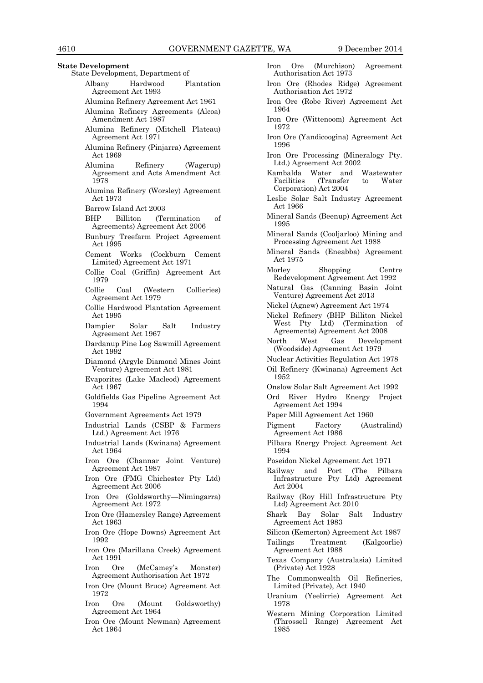#### **State Development**

- State Development, Department of
	- Albany Hardwood Plantation Agreement Act 1993
	- Alumina Refinery Agreement Act 1961
	- Alumina Refinery Agreements (Alcoa) Amendment Act 1987
	- Alumina Refinery (Mitchell Plateau) Agreement Act 1971
	- Alumina Refinery (Pinjarra) Agreement Act 1969
	- Alumina Refinery (Wagerup) Agreement and Acts Amendment Act 1978
	- Alumina Refinery (Worsley) Agreement Act 1973
	- Barrow Island Act 2003
	- BHP Billiton (Termination of Agreements) Agreement Act 2006
	- Bunbury Treefarm Project Agreement Act 1995
	- Cement Works (Cockburn Cement Limited) Agreement Act 1971
	- Collie Coal (Griffin) Agreement Act 1979
	- Collie Coal (Western Collieries) Agreement Act 1979
	- Collie Hardwood Plantation Agreement Act 1995
	- Dampier Solar Salt Industry Agreement Act 1967
	- Dardanup Pine Log Sawmill Agreement Act 1992
	- Diamond (Argyle Diamond Mines Joint Venture) Agreement Act 1981
	- Evaporites (Lake Macleod) Agreement Act 1967
	- Goldfields Gas Pipeline Agreement Act 1994
	- Government Agreements Act 1979
	- Industrial Lands (CSBP & Farmers Ltd.) Agreement Act 1976
	- Industrial Lands (Kwinana) Agreement Act 1964
	- Iron Ore (Channar Joint Venture) Agreement Act 1987
	- Iron Ore (FMG Chichester Pty Ltd) Agreement Act 2006
	- Iron Ore (Goldsworthy—Nimingarra) Agreement Act 1972
	- Iron Ore (Hamersley Range) Agreement Act 1963
	- Iron Ore (Hope Downs) Agreement Act 1992
	- Iron Ore (Marillana Creek) Agreement Act 1991
	- Iron Ore (McCamey's Monster) Agreement Authorisation Act 1972
	- Iron Ore (Mount Bruce) Agreement Act 1972
	- Iron Ore (Mount Goldsworthy) Agreement Act 1964
	- Iron Ore (Mount Newman) Agreement Act 1964
- Iron Ore (Murchison) Agreement Authorisation Act 1973
- Iron Ore (Rhodes Ridge) Agreement Authorisation Act 1972
- Iron Ore (Robe River) Agreement Act 1964
- Iron Ore (Wittenoom) Agreement Act 1972
- Iron Ore (Yandicoogina) Agreement Act 1996
- Iron Ore Processing (Mineralogy Pty. Ltd.) Agreement Act 2002
- Kambalda Water and Wastewater  $(Transfer to$ Corporation) Act 2004
- Leslie Solar Salt Industry Agreement Act 1966
- Mineral Sands (Beenup) Agreement Act 1995
- Mineral Sands (Cooljarloo) Mining and Processing Agreement Act 1988
- Mineral Sands (Eneabba) Agreement Act 1975
- Morley Shopping Centre Redevelopment Agreement Act 1992
- Natural Gas (Canning Basin Joint Venture) Agreement Act 2013
- Nickel (Agnew) Agreement Act 1974
- Nickel Refinery (BHP Billiton Nickel West Pty Ltd) (Termination of Agreements) Agreement Act 2008
- North West Gas Development (Woodside) Agreement Act 1979
- Nuclear Activities Regulation Act 1978
- Oil Refinery (Kwinana) Agreement Act 1952
- Onslow Solar Salt Agreement Act 1992
- Ord River Hydro Energy Project Agreement Act 1994
- Paper Mill Agreement Act 1960
- Pigment Factory (Australind) Agreement Act 1986
- Pilbara Energy Project Agreement Act 1994
- Poseidon Nickel Agreement Act 1971
- Railway and Port (The Pilbara Infrastructure Pty Ltd) Agreement Act 2004
- Railway (Roy Hill Infrastructure Pty Ltd) Agreement Act 2010
- Shark Bay Solar Salt Industry Agreement Act 1983
- Silicon (Kemerton) Agreement Act 1987
- Tailings Treatment (Kalgoorlie) Agreement Act 1988
- Texas Company (Australasia) Limited (Private) Act 1928
- The Commonwealth Oil Refineries, Limited (Private), Act 1940
- Uranium (Yeelirrie) Agreement Act 1978
- Western Mining Corporation Limited (Throssell Range) Agreement Act 1985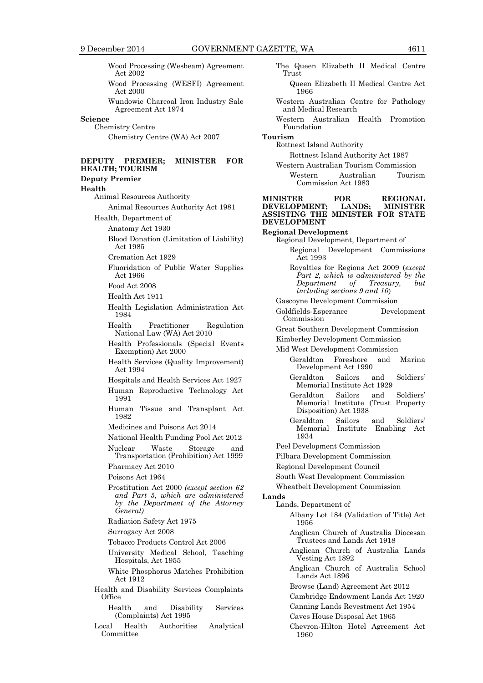Wood Processing (Wesbeam) Agreement Act 2002 Wood Processing (WESFI) Agreement Act 2000 Wundowie Charcoal Iron Industry Sale Agreement Act 1974 **Science** Chemistry Centre Chemistry Centre (WA) Act 2007 **DEPUTY PREMIER; MINISTER FOR HEALTH; TOURISM Deputy Premier Health** Animal Resources Authority Animal Resources Authority Act 1981 Health, Department of Anatomy Act 1930 Blood Donation (Limitation of Liability) Act 1985 Cremation Act 1929 Fluoridation of Public Water Supplies Act 1966 Food Act 2008 Health Act 1911 Health Legislation Administration Act 1984 Health Practitioner Regulation National Law (WA) Act 2010 Health Professionals (Special Events Exemption) Act 2000 Health Services (Quality Improvement) Act 1994 Hospitals and Health Services Act 1927 Human Reproductive Technology Act 1991 Human Tissue and Transplant Act 1982 Medicines and Poisons Act 2014 National Health Funding Pool Act 2012 Nuclear Waste Storage and Transportation (Prohibition) Act 1999 Pharmacy Act 2010 Poisons Act 1964 Prostitution Act 2000 *(except section 62 and Part 5, which are administered by the Department of the Attorney General)* Radiation Safety Act 1975 Surrogacy Act 2008 Tobacco Products Control Act 2006 University Medical School, Teaching Hospitals, Act 1955 White Phosphorus Matches Prohibition Act 1912 Health and Disability Services Complaints **Office** Health and Disability Services (Complaints) Act 1995 Local Health Authorities Analytical Committee

The Queen Elizabeth II Medical Centre Trust Queen Elizabeth II Medical Centre Act 1966 Western Australian Centre for Pathology and Medical Research Western Australian Health Promotion Foundation **Tourism** Rottnest Island Authority Rottnest Island Authority Act 1987 Western Australian Tourism Commission Western Australian Tourism Commission Act 1983 **MINISTER FOR REGIONAL DEVELOPMENT; LANDS; MINISTER ASSISTING THE MINISTER FOR STATE DEVELOPMENT Regional Development** Regional Development, Department of Regional Development Commissions Act 1993 Royalties for Regions Act 2009 (*except Part 2, which is administered by the Department of Treasury, including sections 9 and 10*) Gascoyne Development Commission Goldfields-Esperance Development Commission Great Southern Development Commission Kimberley Development Commission Mid West Development Commission Geraldton Foreshore and Marina Development Act 1990 Geraldton Sailors and Soldiers' Memorial Institute Act 1929 Geraldton Sailors and Soldiers' Memorial Institute (Trust Property Disposition) Act 1938 Geraldton Sailors and Soldiers' Memorial Institute Enabling Act 1934 Peel Development Commission Pilbara Development Commission Regional Development Council South West Development Commission Wheatbelt Development Commission **Lands** Lands, Department of Albany Lot 184 (Validation of Title) Act 1956 Anglican Church of Australia Diocesan Trustees and Lands Act 1918 Anglican Church of Australia Lands Vesting Act 1892 Anglican Church of Australia School Lands Act 1896 Browse (Land) Agreement Act 2012 Cambridge Endowment Lands Act 1920 Canning Lands Revestment Act 1954 Caves House Disposal Act 1965 Chevron-Hilton Hotel Agreement Act 1960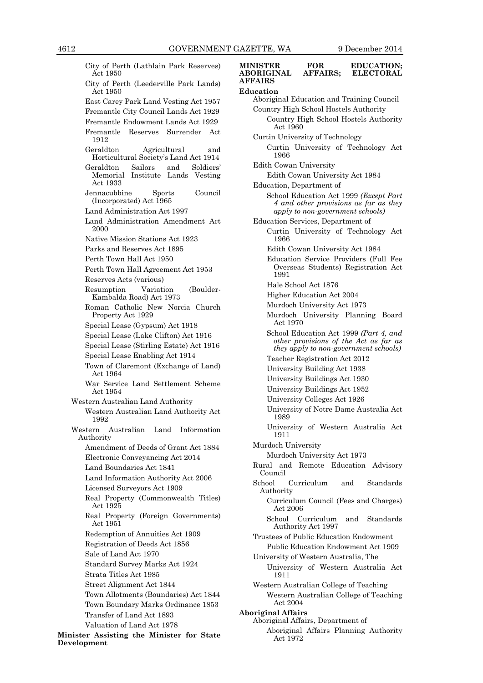City of Perth (Lathlain Park Reserves) Act 1950 City of Perth (Leederville Park Lands) Act 1950 East Carey Park Land Vesting Act 1957 Fremantle City Council Lands Act 1929 Fremantle Endowment Lands Act 1929 Fremantle Reserves Surrender Act 1912 Geraldton Agricultural and Horticultural Society's Land Act 1914 Geraldton Sailors and Soldiers' Memorial Institute Lands Act 1933 Jennacubbine Sports Council (Incorporated) Act 1965 Land Administration Act 1997 Land Administration Amendment Act 2000 Native Mission Stations Act 1923 Parks and Reserves Act 1895 Perth Town Hall Act 1950 Perth Town Hall Agreement Act 1953 Reserves Acts (various) Resumption Variation (Boulder-Kambalda Road) Act 1973 Roman Catholic New Norcia Church Property Act 1929 Special Lease (Gypsum) Act 1918 Special Lease (Lake Clifton) Act 1916 Special Lease (Stirling Estate) Act 1916 Special Lease Enabling Act 1914 Town of Claremont (Exchange of Land) Act 1964 War Service Land Settlement Scheme Act 1954 Western Australian Land Authority Western Australian Land Authority Act 1992 Western Australian Land Information Authority Amendment of Deeds of Grant Act 1884 Electronic Conveyancing Act 2014 Land Boundaries Act 1841 Land Information Authority Act 2006 Licensed Surveyors Act 1909 Real Property (Commonwealth Titles) Act 1925 Real Property (Foreign Governments) Act 1951 Redemption of Annuities Act 1909 Registration of Deeds Act 1856 Sale of Land Act 1970 Standard Survey Marks Act 1924 Strata Titles Act 1985 Street Alignment Act 1844 Town Allotments (Boundaries) Act 1844 Town Boundary Marks Ordinance 1853 Transfer of Land Act 1893 Valuation of Land Act 1978

**Minister Assisting the Minister for State Development**

# **MINISTER FOR EDUCATION;<br>
ABORIGINAL AFFAIRS; ELECTORAL ABORIGINAL AFFAIRS Education** Aboriginal Education and Training Council Country High School Hostels Authority Country High School Hostels Authority Act 1960 Curtin University of Technology Curtin University of Technology Act 1966 Edith Cowan University Edith Cowan University Act 1984 Education, Department of School Education Act 1999 *(Except Part 4 and other provisions as far as they apply to non-government schools)* Education Services, Department of Curtin University of Technology Act 1966 Edith Cowan University Act 1984 Education Service Providers (Full Fee Overseas Students) Registration Act 1991 Hale School Act 1876 Higher Education Act 2004 Murdoch University Act 1973 Murdoch University Planning Board Act 1970 School Education Act 1999 *(Part 4, and other provisions of the Act as far as they apply to non-government schools)* Teacher Registration Act 2012 University Building Act 1938 University Buildings Act 1930 University Buildings Act 1952 University Colleges Act 1926 University of Notre Dame Australia Act 1989 University of Western Australia Act 1911 Murdoch University Murdoch University Act 1973 Rural and Remote Education Advisory Council School Curriculum and Standards Authority Curriculum Council (Fees and Charges) Act 2006 School Curriculum and Standards Authority Act 1997 Trustees of Public Education Endowment Public Education Endowment Act 1909 University of Western Australia, The University of Western Australia Act 1911 Western Australian College of Teaching Western Australian College of Teaching Act 2004 **Aboriginal Affairs** Aboriginal Affairs, Department of Aboriginal Affairs Planning Authority Act 1972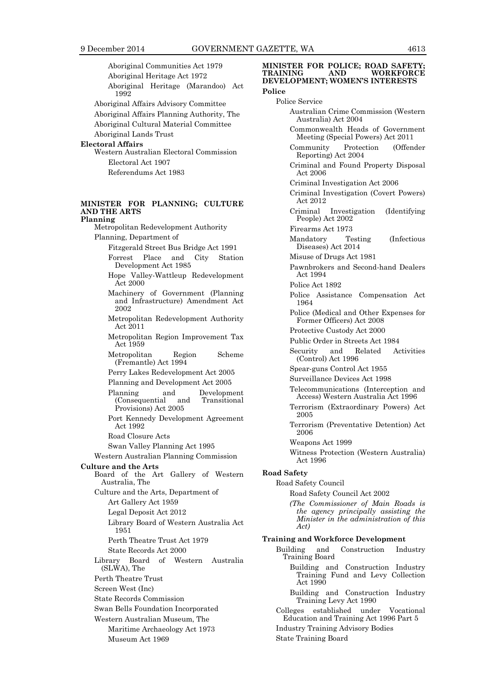Aboriginal Communities Act 1979 Aboriginal Heritage Act 1972 Aboriginal Heritage (Marandoo) Act 1992 Aboriginal Affairs Advisory Committee Aboriginal Affairs Planning Authority, The Aboriginal Cultural Material Committee Aboriginal Lands Trust **Electoral Affairs** Western Australian Electoral Commission Electoral Act 1907 Referendums Act 1983 **MINISTER FOR PLANNING; CULTURE AND THE ARTS Planning** Metropolitan Redevelopment Authority Planning, Department of Fitzgerald Street Bus Bridge Act 1991 Forrest Place and City Station Development Act 1985 Hope Valley-Wattleup Redevelopment Act 2000 Machinery of Government (Planning and Infrastructure) Amendment Act 2002 Metropolitan Redevelopment Authority Act 2011 Metropolitan Region Improvement Tax Act 1959 Metropolitan Region Scheme (Fremantle) Act 1994 Perry Lakes Redevelopment Act 2005 Planning and Development Act 2005 Planning and Development<br>(Consequential and Transitional (Consequential Provisions) Act 2005 Port Kennedy Development Agreement Act 1992 Road Closure Acts Swan Valley Planning Act 1995 Western Australian Planning Commission **Culture and the Arts** Board of the Art Gallery of Western Australia, The Culture and the Arts, Department of Art Gallery Act 1959 Legal Deposit Act 2012 Library Board of Western Australia Act 1951 Perth Theatre Trust Act 1979 State Records Act 2000 Library Board of Western Australia (SLWA), The Perth Theatre Trust Screen West (Inc) State Records Commission Swan Bells Foundation Incorporated Western Australian Museum, The Maritime Archaeology Act 1973

Museum Act 1969

#### **MINISTER FOR POLICE; ROAD SAFETY;<br>
TRAINING AND WORKFORCE WORKFORCE DEVELOPMENT; WOMEN'S INTERESTS Police**

#### Police Service

- Australian Crime Commission (Western Australia) Act 2004
- Commonwealth Heads of Government Meeting (Special Powers) Act 2011
- Community Protection (Offender Reporting) Act 2004
- Criminal and Found Property Disposal Act 2006
- Criminal Investigation Act 2006
- Criminal Investigation (Covert Powers) Act 2012
- Criminal Investigation (Identifying People) Act 2002
- Firearms Act 1973
- Mandatory Testing (Infectious Diseases) Act 2014
- Misuse of Drugs Act 1981
- Pawnbrokers and Second-hand Dealers Act 1994
- Police Act 1892
- Police Assistance Compensation Act 1964
- Police (Medical and Other Expenses for Former Officers) Act 2008
- Protective Custody Act 2000
- Public Order in Streets Act 1984
- Security and Related Activities (Control) Act 1996
- Spear-guns Control Act 1955
- Surveillance Devices Act 1998
- Telecommunications (Interception and Access) Western Australia Act 1996
- Terrorism (Extraordinary Powers) Act 2005
- Terrorism (Preventative Detention) Act 2006
- Weapons Act 1999
- Witness Protection (Western Australia) Act 1996

# **Road Safety**

#### Road Safety Council

- Road Safety Council Act 2002
- *(The Commissioner of Main Roads is the agency principally assisting the Minister in the administration of this Act)*

# **Training and Workforce Development**

- Building and Construction Industry Training Board
	- Building and Construction Industry Training Fund and Levy Collection Act 1990
	- Building and Construction Industry Training Levy Act 1990
	- Colleges established under Vocational Education and Training Act 1996 Part 5
- Industry Training Advisory Bodies
- State Training Board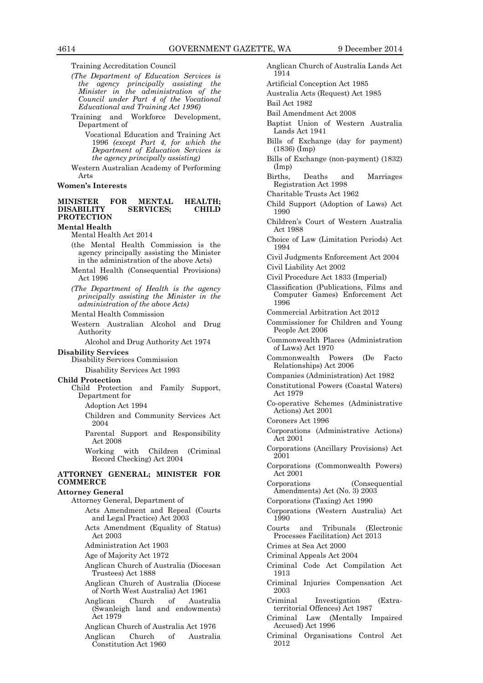Training Accreditation Council

- *(The Department of Education Services is the agency principally assisting the Minister in the administration of the Council under Part 4 of the Vocational Educational and Training Act 1996)*
- Training and Workforce Development, Department of

Vocational Education and Training Act 1996 *(except Part 4, for which the Department of Education Services is the agency principally assisting)*

Western Australian Academy of Performing Arts

#### **Women's Interests**

#### **MINISTER FOR MENTAL HEALTH; DISABILITY SERVICES; CHILD PROTECTION**

**Mental Health**

Mental Health Act 2014

- (the Mental Health Commission is the agency principally assisting the Minister in the administration of the above Acts)
- Mental Health (Consequential Provisions) Act 1996
- *(The Department of Health is the agency principally assisting the Minister in the administration of the above Acts)*

Mental Health Commission

- Western Australian Alcohol and Drug Authority
	- Alcohol and Drug Authority Act 1974

**Disability Services**

- Disability Services Commission
- Disability Services Act 1993

#### **Child Protection**

Child Protection and Family Support, Department for

Adoption Act 1994

- Children and Community Services Act 2004
- Parental Support and Responsibility Act 2008
- Working with Children (Criminal Record Checking) Act 2004

### **ATTORNEY GENERAL; MINISTER FOR COMMERCE**

#### **Attorney General**

- Attorney General, Department of Acts Amendment and Repeal (Courts and Legal Practice) Act 2003 Acts Amendment (Equality of Status) Act 2003 Administration Act 1903 Age of Majority Act 1972 Anglican Church of Australia (Diocesan Trustees) Act 1888 Anglican Church of Australia (Diocese of North West Australia) Act 1961 Anglican Church of Australia (Swanleigh land and endowments) Act 1979 Anglican Church of Australia Act 1976
	- Anglican Church of Australia Constitution Act 1960
- Anglican Church of Australia Lands Act 1914
- Artificial Conception Act 1985
- Australia Acts (Request) Act 1985
- Bail Act 1982
- Bail Amendment Act 2008
- Baptist Union of Western Australia Lands Act 1941
- Bills of Exchange (day for payment) (1836) (Imp)
- Bills of Exchange (non-payment) (1832) (Imp)
- Births, Deaths and Marriages Registration Act 1998

Charitable Trusts Act 1962

- Child Support (Adoption of Laws) Act 1990
- Children's Court of Western Australia Act 1988
- Choice of Law (Limitation Periods) Act 1994
- Civil Judgments Enforcement Act 2004 Civil Liability Act 2002
- Civil Procedure Act 1833 (Imperial)
- Classification (Publications, Films and Computer Games) Enforcement Act 1996
- Commercial Arbitration Act 2012
- Commissioner for Children and Young People Act 2006
- Commonwealth Places (Administration of Laws) Act 1970
- Commonwealth Powers (De Facto Relationships) Act 2006
- Companies (Administration) Act 1982
- Constitutional Powers (Coastal Waters) Act 1979
- Co-operative Schemes (Administrative Actions) Act 2001
- Coroners Act 1996
- Corporations (Administrative Actions) Act 2001
- Corporations (Ancillary Provisions) Act 2001
- Corporations (Commonwealth Powers) Act 2001
- Corporations (Consequential Amendments) Act (No. 3) 2003
- Corporations (Taxing) Act 1990
- Corporations (Western Australia) Act 1990
- Courts and Tribunals (Electronic Processes Facilitation) Act 2013
- Crimes at Sea Act 2000
- Criminal Appeals Act 2004
- Criminal Code Act Compilation Act 1913
- Criminal Injuries Compensation Act 2003
- Criminal Investigation (Extraterritorial Offences) Act 1987
- Criminal Law (Mentally Impaired Accused) Act 1996
- Criminal Organisations Control Act 2012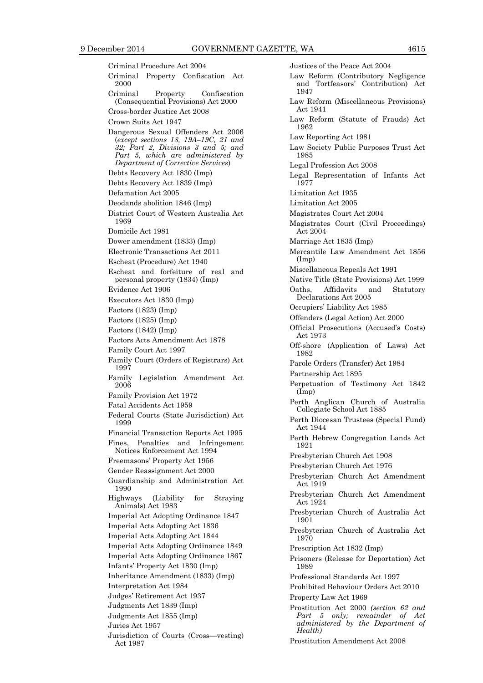Criminal Procedure Act 2004 Criminal Property Confiscation Act 2000 Criminal Property Confiscation (Consequential Provisions) Act 2000 Cross-border Justice Act 2008 Crown Suits Act 1947 Dangerous Sexual Offenders Act 2006 (*except sections 18, 19A–19C, 21 and 32; Part 2, Divisions 3 and 5; and Part 5, which are administered by Department of Corrective Services*) Debts Recovery Act 1830 (Imp) Debts Recovery Act 1839 (Imp) Defamation Act 2005 Deodands abolition 1846 (Imp) District Court of Western Australia Act 1969 Domicile Act 1981 Dower amendment (1833) (Imp) Electronic Transactions Act 2011 Escheat (Procedure) Act 1940 Escheat and forfeiture of real and personal property (1834) (Imp) Evidence Act 1906 Executors Act 1830 (Imp) Factors (1823) (Imp) Factors (1825) (Imp) Factors (1842) (Imp) Factors Acts Amendment Act 1878 Family Court Act 1997 Family Court (Orders of Registrars) Act 1997 Family Legislation Amendment Act 2006 Family Provision Act 1972 Fatal Accidents Act 1959 Federal Courts (State Jurisdiction) Act 1999 Financial Transaction Reports Act 1995 Fines, Penalties and Infringement Notices Enforcement Act 1994 Freemasons' Property Act 1956 Gender Reassignment Act 2000 Guardianship and Administration Act 1990 Highways (Liability for Straying Animals) Act 1983 Imperial Act Adopting Ordinance 1847 Imperial Acts Adopting Act 1836 Imperial Acts Adopting Act 1844 Imperial Acts Adopting Ordinance 1849 Imperial Acts Adopting Ordinance 1867 Infants' Property Act 1830 (Imp) Inheritance Amendment (1833) (Imp) Interpretation Act 1984 Judges' Retirement Act 1937 Judgments Act 1839 (Imp) Judgments Act 1855 (Imp) Juries Act 1957 Jurisdiction of Courts (Cross—vesting) Act 1987

Justices of the Peace Act 2004 Law Reform (Contributory Negligence and Tortfeasors' Contribution) Act 1947 Law Reform (Miscellaneous Provisions) Act 1941 Law Reform (Statute of Frauds) Act 1962 Law Reporting Act 1981 Law Society Public Purposes Trust Act 1985 Legal Profession Act 2008 Legal Representation of Infants Act 1977 Limitation Act 1935 Limitation Act 2005 Magistrates Court Act 2004 Magistrates Court (Civil Proceedings) Act 2004 Marriage Act 1835 (Imp) Mercantile Law Amendment Act 1856 (Imp) Miscellaneous Repeals Act 1991 Native Title (State Provisions) Act 1999 Oaths, Affidavits and Statutory Declarations Act 2005 Occupiers' Liability Act 1985 Offenders (Legal Action) Act 2000 Official Prosecutions (Accused's Costs) Act 1973 Off-shore (Application of Laws) Act 1982 Parole Orders (Transfer) Act 1984 Partnership Act 1895 Perpetuation of Testimony Act 1842 (Imp) Perth Anglican Church of Australia Collegiate School Act 1885 Perth Diocesan Trustees (Special Fund) Act 1944 Perth Hebrew Congregation Lands Act 1921 Presbyterian Church Act 1908 Presbyterian Church Act 1976 Presbyterian Church Act Amendment Act 1919 Presbyterian Church Act Amendment Act 1924 Presbyterian Church of Australia Act 1901 Presbyterian Church of Australia Act 1970 Prescription Act 1832 (Imp) Prisoners (Release for Deportation) Act 1989 Professional Standards Act 1997 Prohibited Behaviour Orders Act 2010 Property Law Act 1969 Prostitution Act 2000 *(section 62 and Part 5 only; remainder of Act administered by the Department of Health)* Prostitution Amendment Act 2008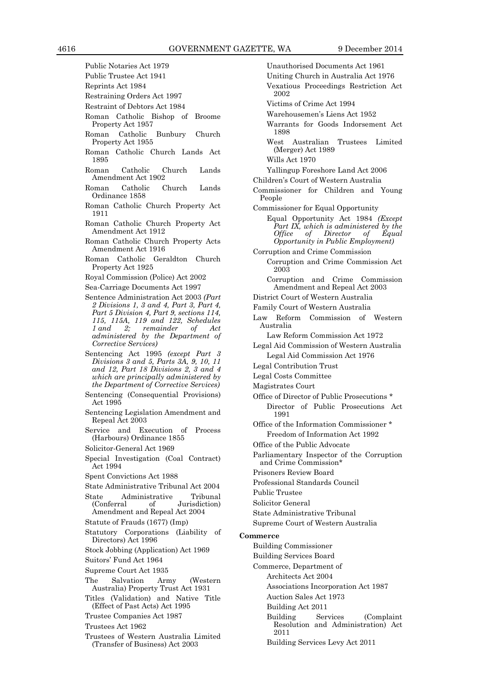- Public Notaries Act 1979 Public Trustee Act 1941
- Reprints Act 1984
- Restraining Orders Act 1997
- Restraint of Debtors Act 1984
- Roman Catholic Bishop of Broome Property Act 1957
- Roman Catholic Bunbury Church Property Act 1955
- Roman Catholic Church Lands Act 1895
- Roman Catholic Church Lands Amendment Act 1902
- Roman Catholic Church Lands Ordinance 1858
- Roman Catholic Church Property Act 1911
- Roman Catholic Church Property Act Amendment Act 1912
- Roman Catholic Church Property Acts Amendment Act 1916
- Roman Catholic Geraldton Church Property Act 1925
- Royal Commission (Police) Act 2002
- Sea-Carriage Documents Act 1997
- Sentence Administration Act 2003 *(Part 2 Divisions 1, 3 and 4, Part 3, Part 4, Part 5 Division 4, Part 9, sections 114, 115, 115A, 119 and 122, Schedules 1 and 2; remainder of Act administered by the Department of Corrective Services)*
- Sentencing Act 1995 *(except Part 3 Divisions 3 and 5, Parts 3A, 9, 10, 11 and 12, Part 18 Divisions 2, 3 and 4 which are principally administered by the Department of Corrective Services)*
- Sentencing (Consequential Provisions) Act 1995
- Sentencing Legislation Amendment and Repeal Act 2003
- Service and Execution of Process (Harbours) Ordinance 1855
- Solicitor-General Act 1969
- Special Investigation (Coal Contract) Act 1994
- Spent Convictions Act 1988
- State Administrative Tribunal Act 2004
- State Administrative Tribunal (Conferral of Jurisdiction)
- Amendment and Repeal Act 2004 Statute of Frauds (1677) (Imp)
- Statutory Corporations (Liability of Directors) Act 1996
- Stock Jobbing (Application) Act 1969
- Suitors' Fund Act 1964
- Supreme Court Act 1935
- The Salvation Army (Western Australia) Property Trust Act 1931
- Titles (Validation) and Native Title (Effect of Past Acts) Act 1995
- Trustee Companies Act 1987
- Trustees Act 1962
- Trustees of Western Australia Limited (Transfer of Business) Act 2003
- Unauthorised Documents Act 1961 Uniting Church in Australia Act 1976 Vexatious Proceedings Restriction Act 2002 Victims of Crime Act 1994 Warehousemen's Liens Act 1952 Warrants for Goods Indorsement Act 1898 West Australian Trustees Limited (Merger) Act 1989 Wills Act 1970 Yallingup Foreshore Land Act 2006 Children's Court of Western Australia Commissioner for Children and Young People Commissioner for Equal Opportunity Equal Opportunity Act 1984 *(Except Part IX, which is administered by the*  $Director$ *Opportunity in Public Employment)* Corruption and Crime Commission Corruption and Crime Commission Act 2003 Corruption and Crime Commission Amendment and Repeal Act 2003 District Court of Western Australia Family Court of Western Australia Law Reform Commission of Western Australia Law Reform Commission Act 1972 Legal Aid Commission of Western Australia Legal Aid Commission Act 1976 Legal Contribution Trust Legal Costs Committee Magistrates Court Office of Director of Public Prosecutions \* Director of Public Prosecutions Act 1991 Office of the Information Commissioner \* Freedom of Information Act 1992 Office of the Public Advocate Parliamentary Inspector of the Corruption and Crime Commission\* Prisoners Review Board Professional Standards Council Public Trustee Solicitor General State Administrative Tribunal Supreme Court of Western Australia **Commerce** Building Commissioner Building Services Board Commerce, Department of Architects Act 2004 Associations Incorporation Act 1987 Auction Sales Act 1973 Building Act 2011
	- Building Services (Complaint Resolution and Administration) Act 2011
	- Building Services Levy Act 2011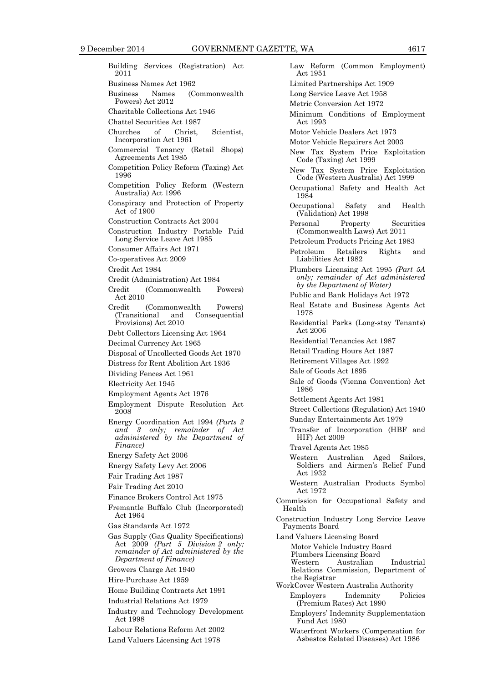Building Services (Registration) Act 2011 Business Names Act 1962 Business Names (Commonwealth Powers) Act 2012 Charitable Collections Act 1946 Chattel Securities Act 1987 Churches of Christ, Scientist, Incorporation Act 1961 Commercial Tenancy (Retail Shops) Agreements Act 1985 Competition Policy Reform (Taxing) Act 1996 Competition Policy Reform (Western Australia) Act 1996 Conspiracy and Protection of Property Act of 1900 Construction Contracts Act 2004 Construction Industry Portable Paid Long Service Leave Act 1985 Consumer Affairs Act 1971 Co-operatives Act 2009 Credit Act 1984 Credit (Administration) Act 1984 Credit (Commonwealth Powers) Act 2010 Credit (Commonwealth Powers)<br>(Transitional and Consequential Consequential Provisions) Act 2010 Debt Collectors Licensing Act 1964 Decimal Currency Act 1965 Disposal of Uncollected Goods Act 1970 Distress for Rent Abolition Act 1936 Dividing Fences Act 1961 Electricity Act 1945 Employment Agents Act 1976 Employment Dispute Resolution Act 2008 Energy Coordination Act 1994 *(Parts 2 and 3 only; remainder of Act administered by the Department of Finance)* Energy Safety Act 2006 Energy Safety Levy Act 2006 Fair Trading Act 1987 Fair Trading Act 2010 Finance Brokers Control Act 1975 Fremantle Buffalo Club (Incorporated) Act 1964 Gas Standards Act 1972 Gas Supply (Gas Quality Specifications) Act 2009 *(Part 5 Division 2 only; remainder of Act administered by the Department of Finance)* Growers Charge Act 1940 Hire-Purchase Act 1959 Home Building Contracts Act 1991 Industrial Relations Act 1979 Industry and Technology Development Act 1998 Labour Relations Reform Act 2002 Land Valuers Licensing Act 1978

Law Reform (Common Employment) Act 1951 Limited Partnerships Act 1909 Long Service Leave Act 1958 Metric Conversion Act 1972 Minimum Conditions of Employment Act 1993 Motor Vehicle Dealers Act 1973 Motor Vehicle Repairers Act 2003 New Tax System Price Exploitation Code (Taxing) Act 1999 New Tax System Price Exploitation Code (Western Australia) Act 1999 Occupational Safety and Health Act 1984 Occupational Safety and Health (Validation) Act 1998 Personal Property Securities (Commonwealth Laws) Act 2011 Petroleum Products Pricing Act 1983 Petroleum Retailers Rights and Liabilities Act 1982 Plumbers Licensing Act 1995 *(Part 5A only; remainder of Act administered by the Department of Water)* Public and Bank Holidays Act 1972 Real Estate and Business Agents Act 1978 Residential Parks (Long-stay Tenants) Act 2006 Residential Tenancies Act 1987 Retail Trading Hours Act 1987 Retirement Villages Act 1992 Sale of Goods Act 1895 Sale of Goods (Vienna Convention) Act 1986 Settlement Agents Act 1981 Street Collections (Regulation) Act 1940 Sunday Entertainments Act 1979 Transfer of Incorporation (HBF and HIF) Act 2009 Travel Agents Act 1985 Western Australian Aged Sailors, Soldiers and Airmen's Relief Fund Act 1932 Western Australian Products Symbol Act 1972 Commission for Occupational Safety and Health Construction Industry Long Service Leave Payments Board Land Valuers Licensing Board Motor Vehicle Industry Board Plumbers Licensing Board Australian Industrial Relations Commission, Department of the Registrar WorkCover Western Australia Authority Employers Indemnity Policies (Premium Rates) Act 1990 Employers' Indemnity Supplementation Fund Act 1980 Waterfront Workers (Compensation for

Asbestos Related Diseases) Act 1986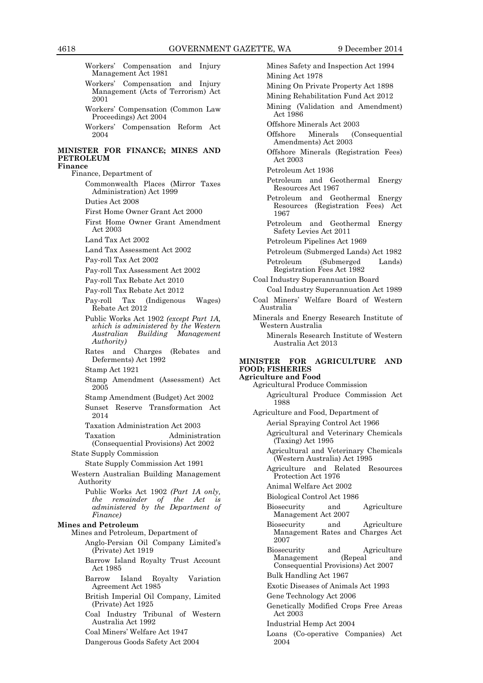Workers' Compensation and Injury Management Act 1981

- Workers' Compensation and Injury Management (Acts of Terrorism) Act 2001
- Workers' Compensation (Common Law Proceedings) Act 2004
- Workers' Compensation Reform Act 2004

#### **MINISTER FOR FINANCE; MINES AND PETROLEUM Finance**

Finance, Department of

Commonwealth Places (Mirror Taxes Administration) Act 1999

Duties Act 2008

First Home Owner Grant Act 2000

First Home Owner Grant Amendment Act 2003

Land Tax Act 2002

Land Tax Assessment Act 2002

Pay-roll Tax Act 2002

Pay-roll Tax Assessment Act 2002

- Pay-roll Tax Rebate Act 2010
- Pay-roll Tax Rebate Act 2012
- Pay-roll Tax (Indigenous Wages) Rebate Act 2012
- Public Works Act 1902 *(except Part 1A, which is administered by the Western Australian Building Management Authority)*
- Rates and Charges (Rebates and Deferments) Act 1992
- Stamp Act 1921
- Stamp Amendment (Assessment) Act 2005
- Stamp Amendment (Budget) Act 2002
- Sunset Reserve Transformation Act 2014
- Taxation Administration Act 2003

Taxation Administration (Consequential Provisions) Act 2002

# State Supply Commission

State Supply Commission Act 1991

Western Australian Building Management Authority

Public Works Act 1902 *(Part 1A only, the remainder of the Act is administered by the Department of Finance)*

#### **Mines and Petroleum**

Mines and Petroleum, Department of

- Anglo-Persian Oil Company Limited's (Private) Act 1919
- Barrow Island Royalty Trust Account Act 1985
- Barrow Island Royalty Variation Agreement Act 1985
- British Imperial Oil Company, Limited (Private) Act 1925

Coal Industry Tribunal of Western Australia Act 1992

- Coal Miners' Welfare Act 1947
- Dangerous Goods Safety Act 2004

Mines Safety and Inspection Act 1994 Mining Act 1978 Mining On Private Property Act 1898 Mining Rehabilitation Fund Act 2012 Mining (Validation and Amendment) Act 1986 Offshore Minerals Act 2003 Offshore Minerals (Consequential Amendments) Act 2003 Offshore Minerals (Registration Fees) Act 2003 Petroleum Act 1936 Petroleum and Geothermal Energy Resources Act 1967 Petroleum and Geothermal Energy Resources (Registration Fees) Act 1967 Petroleum and Geothermal Energy

Safety Levies Act 2011

Petroleum Pipelines Act 1969

- Petroleum (Submerged Lands) Act 1982
- Petroleum (Submerged Lands) Registration Fees Act 1982
- Coal Industry Superannuation Board
- Coal Industry Superannuation Act 1989 Coal Miners' Welfare Board of Western Australia
- Minerals and Energy Research Institute of Western Australia

Minerals Research Institute of Western Australia Act 2013

# **MINISTER FOR AGRICULTURE AND FOOD; FISHERIES**

# **Agriculture and Food**

- Agricultural Produce Commission Agricultural Produce Commission Act 1988
- Agriculture and Food, Department of Aerial Spraying Control Act 1966
	- Agricultural and Veterinary Chemicals (Taxing) Act 1995
	- Agricultural and Veterinary Chemicals (Western Australia) Act 1995
	- Agriculture and Related Resources Protection Act 1976
	- Animal Welfare Act 2002
	- Biological Control Act 1986
	- Biosecurity and Agriculture Management Act 2007
	- Biosecurity and Agriculture Management Rates and Charges Act 2007
	- Biosecurity and Agriculture<br>Management (Repeal and Management (Repeal and Consequential Provisions) Act 2007
	- Bulk Handling Act 1967
	- Exotic Diseases of Animals Act 1993
	- Gene Technology Act 2006
	- Genetically Modified Crops Free Areas Act 2003
	- Industrial Hemp Act 2004
	- Loans (Co-operative Companies) Act 2004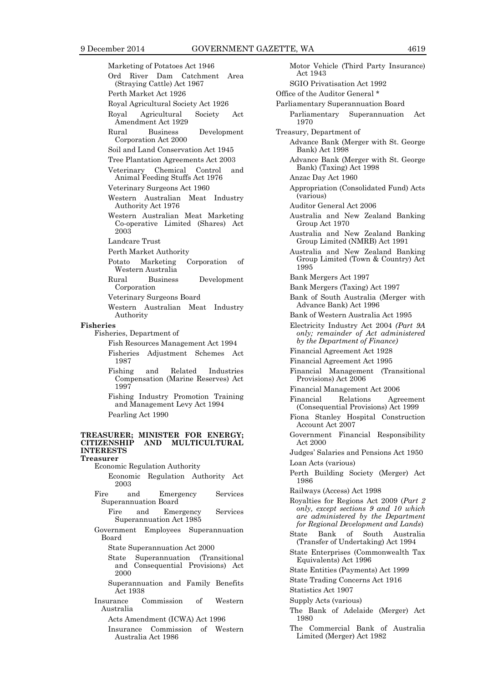Marketing of Potatoes Act 1946 Ord River Dam Catchment Area (Straying Cattle) Act 1967 Perth Market Act 1926 Royal Agricultural Society Act 1926 Royal Agricultural Society Act Amendment Act 1929 Rural Business Development Corporation Act 2000 Soil and Land Conservation Act 1945 Tree Plantation Agreements Act 2003 Veterinary Chemical Control and Animal Feeding Stuffs Act 1976 Veterinary Surgeons Act 1960 Western Australian Meat Industry Authority Act 1976 Western Australian Meat Marketing Co-operative Limited (Shares) Act 2003 Landcare Trust Perth Market Authority Potato Marketing Corporation of Western Australia Rural Business Development Corporation Veterinary Surgeons Board Western Australian Meat Industry Authority **Fisheries** Fisheries, Department of Fish Resources Management Act 1994 Fisheries Adjustment Schemes Act 1987 Fishing and Related Industries Compensation (Marine Reserves) Act 1997 Fishing Industry Promotion Training and Management Levy Act 1994 Pearling Act 1990 **TREASURER; MINISTER FOR ENERGY; CITIZENSHIP AND MULTICULTURAL INTERESTS Treasurer**  Economic Regulation Authority Economic Regulation Authority Act 2003 Fire and Emergency Services Superannuation Board Fire and Emergency Services Superannuation Act 1985 Government Employees Superannuation Board State Superannuation Act 2000 State Superannuation (Transitional and Consequential Provisions) Act 2000 Superannuation and Family Benefits Act 1938 Insurance Commission of Western Australia Acts Amendment (ICWA) Act 1996

Insurance Commission of Western Australia Act 1986

Motor Vehicle (Third Party Insurance) Act 1943 SGIO Privatisation Act 1992 Office of the Auditor General \* Parliamentary Superannuation Board Parliamentary Superannuation Act 1970 Treasury, Department of Advance Bank (Merger with St. George Bank) Act 1998 Advance Bank (Merger with St. George Bank) (Taxing) Act 1998 Anzac Day Act 1960 Appropriation (Consolidated Fund) Acts (various) Auditor General Act 2006 Australia and New Zealand Banking Group Act 1970 Australia and New Zealand Banking Group Limited (NMRB) Act 1991 Australia and New Zealand Banking Group Limited (Town & Country) Act 1995 Bank Mergers Act 1997 Bank Mergers (Taxing) Act 1997 Bank of South Australia (Merger with Advance Bank) Act 1996 Bank of Western Australia Act 1995 Electricity Industry Act 2004 *(Part 9A only; remainder of Act administered by the Department of Finance)* Financial Agreement Act 1928 Financial Agreement Act 1995 Financial Management (Transitional Provisions) Act 2006 Financial Management Act 2006 Financial Relations Agreement (Consequential Provisions) Act 1999 Fiona Stanley Hospital Construction Account Act 2007 Government Financial Responsibility Act 2000 Judges' Salaries and Pensions Act 1950 Loan Acts (various) Perth Building Society (Merger) Act 1986 Railways (Access) Act 1998 Royalties for Regions Act 2009 (*Part 2 only, except sections 9 and 10 which are administered by the Department for Regional Development and Lands*) State Bank of South Australia (Transfer of Undertaking) Act 1994 State Enterprises (Commonwealth Tax Equivalents) Act 1996 State Entities (Payments) Act 1999 State Trading Concerns Act 1916 Statistics Act 1907 Supply Acts (various) The Bank of Adelaide (Merger) Act 1980 The Commercial Bank of Australia Limited (Merger) Act 1982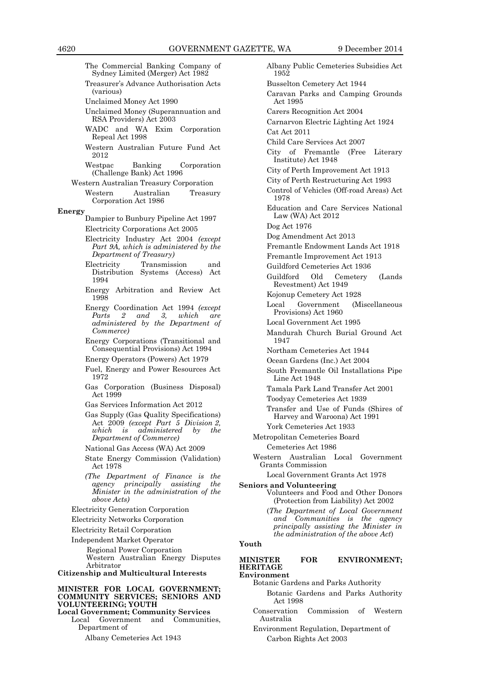The Commercial Banking Company of Sydney Limited (Merger) Act 1982

Treasurer's Advance Authorisation Acts (various)

Unclaimed Money Act 1990

Unclaimed Money (Superannuation and RSA Providers) Act 2003

- WADC and WA Exim Corporation Repeal Act 1998
- Western Australian Future Fund Act 2012
- Westpac Banking Corporation (Challenge Bank) Act 1996
- Western Australian Treasury Corporation Western Australian Treasury

Corporation Act 1986

- **Energy**
	- Dampier to Bunbury Pipeline Act 1997 Electricity Corporations Act 2005

Electricity Industry Act 2004 *(except Part 9A, which is administered by the Department of Treasury)*

- Electricity Transmission and Distribution Systems (Access) Act 1994
- Energy Arbitration and Review Act 1998
- Energy Coordination Act 1994 *(except Parts 2 and 3, which are administered by the Department of Commerce)*

Energy Corporations (Transitional and Consequential Provisions) Act 1994

Energy Operators (Powers) Act 1979

- Fuel, Energy and Power Resources Act 1972
- Gas Corporation (Business Disposal) Act 1999
- Gas Services Information Act 2012
- Gas Supply (Gas Quality Specifications) Act 2009 *(except Part 5 Division 2, which is administered by the Department of Commerce)*
- National Gas Access (WA) Act 2009
- State Energy Commission (Validation) Act 1978
- *(The Department of Finance is the agency principally assisting the Minister in the administration of the above Acts)*
- Electricity Generation Corporation
- Electricity Networks Corporation

Electricity Retail Corporation

Independent Market Operator

Regional Power Corporation Western Australian Energy Disputes Arbitrator

**Citizenship and Multicultural Interests**

#### **MINISTER FOR LOCAL GOVERNMENT; COMMUNITY SERVICES; SENIORS AND VOLUNTEERING; YOUTH**

**Local Government; Community Services** Local Government and Communities, Department of

Albany Cemeteries Act 1943

Albany Public Cemeteries Subsidies Act 1952 Busselton Cemetery Act 1944 Caravan Parks and Camping Grounds Act 1995 Carers Recognition Act 2004 Carnarvon Electric Lighting Act 1924 Cat Act 2011 Child Care Services Act 2007 City of Fremantle (Free Literary Institute) Act 1948 City of Perth Improvement Act 1913 City of Perth Restructuring Act 1993 Control of Vehicles (Off-road Areas) Act 1978 Education and Care Services National Law (WA) Act 2012 Dog Act 1976 Dog Amendment Act 2013 Fremantle Endowment Lands Act 1918 Fremantle Improvement Act 1913 Guildford Cemeteries Act 1936 Guildford Old Cemetery (Lands Revestment) Act 1949 Kojonup Cemetery Act 1928 Local Government (Miscellaneous Provisions) Act 1960 Local Government Act 1995 Mandurah Church Burial Ground Act 1947 Northam Cemeteries Act 1944 Ocean Gardens (Inc.) Act 2004 South Fremantle Oil Installations Pipe Line Act 1948 Tamala Park Land Transfer Act 2001 Toodyay Cemeteries Act 1939 Transfer and Use of Funds (Shires of Harvey and Waroona) Act 1991 York Cemeteries Act 1933 Metropolitan Cemeteries Board Cemeteries Act 1986 Western Australian Local Government Grants Commission Local Government Grants Act 1978 **Seniors and Volunteering** Volunteers and Food and Other Donors (Protection from Liability) Act 2002 (*The Department of Local Government and Communities is the agency principally assisting the Minister in the administration of the above Act*)

#### **Youth**

#### **MINISTER FOR ENVIRONMENT; HERITAGE Environment**

Botanic Gardens and Parks Authority

- Botanic Gardens and Parks Authority Act 1998
- Conservation Commission of Western Australia
- Environment Regulation, Department of Carbon Rights Act 2003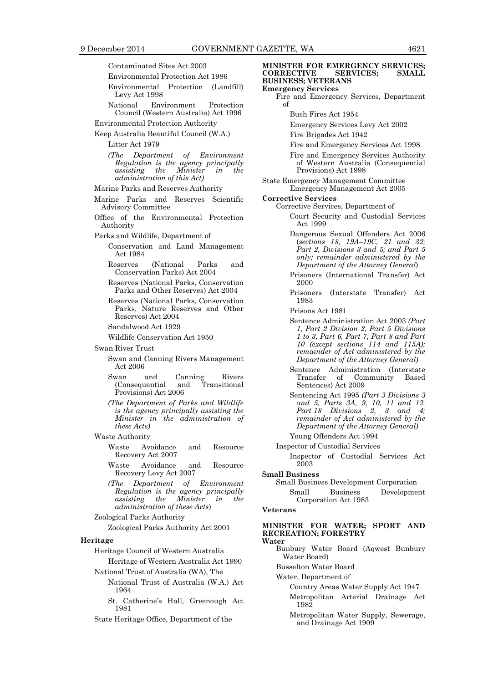Contaminated Sites Act 2003

- Environmental Protection Act 1986
- Environmental Protection (Landfill) Levy Act 1998
- National Environment Protection Council (Western Australia) Act 1996
- Environmental Protection Authority
- Keep Australia Beautiful Council (W.A.)

Litter Act 1979

*(The Department of Environment Regulation is the agency principally assisting the Minister in the administration of this Act)*

- Marine Parks and Reserves Authority
- Marine Parks and Reserves Scientific Advisory Committee
- Office of the Environmental Protection Authority
- Parks and Wildlife, Department of
	- Conservation and Land Management Act 1984
	- Reserves (National Parks and Conservation Parks) Act 2004
	- Reserves (National Parks, Conservation Parks and Other Reserves) Act 2004
	- Reserves (National Parks, Conservation Parks, Nature Reserves and Other Reserves) Act 2004
	- Sandalwood Act 1929
	- Wildlife Conservation Act 1950
- Swan River Trust
	- Swan and Canning Rivers Management Act 2006
	- Swan and Canning Rivers<br>(Consequential and Transitional (Consequential Provisions) Act 2006
	- *(The Department of Parks and Wildlife is the agency principally assisting the Minister in the administration of these Acts)*
- Waste Authority
	- Waste Avoidance and Resource Recovery Act 2007
	- Waste Avoidance and Resource Recovery Levy Act 2007
	- *(The Department of Environment Regulation is the agency principally assisting the Minister in the administration of these Acts*)
- Zoological Parks Authority Zoological Parks Authority Act 2001
- **Heritage**

Heritage Council of Western Australia

- Heritage of Western Australia Act 1990
- National Trust of Australia (WA), The National Trust of Australia (W.A.) Act 1964
	- St. Catherine's Hall, Greenough Act 1981
- State Heritage Office, Department of the

**MINISTER FOR EMERGENCY SERVICES;<br>
CORRECTIVE SERVICES; SMALL CORRECTIVE BUSINESS; VETERANS Emergency Services** Fire and Emergency Services, Department of Bush Fires Act 1954 Emergency Services Levy Act 2002 Fire Brigades Act 1942 Fire and Emergency Services Act 1998 Fire and Emergency Services Authority of Western Australia (Consequential Provisions) Act 1998 State Emergency Management Committee Emergency Management Act 2005 **Corrective Services** Corrective Services, Department of Court Security and Custodial Services Act 1999 Dangerous Sexual Offenders Act 2006 (*sections 18, 19A–19C, 21 and 32; Part 2, Divisions 3 and 5; and Part 5 only; remainder administered by the Department of the Attorney General*) Prisoners (International Transfer) Act 2000 Prisoners (Interstate Transfer) Act 1983 Prisons Act 1981 Sentence Administration Act 2003 *(Part 1, Part 2 Division 2, Part 5 Divisions 1 to 3, Part 6, Part 7, Part 8 and Part 10 (except sections 114 and 115A); remainder of Act administered by the Department of the Attorney General)* Sentence Administration (Interstate<br>Transfer of Community Based Transfer of Community Based Sentences) Act 2009 Sentencing Act 1995 *(Part 3 Divisions 3 and 5, Parts 3A, 9, 10, 11 and 12, Part 18 Divisions 2, 3 and 4; remainder of Act administered by the Department of the Attorney General)* Young Offenders Act 1994 Inspector of Custodial Services Inspector of Custodial Services Act 2003 **Small Business** Small Business Development Corporation Small Business Development Corporation Act 1983

# **Veterans**

## **MINISTER FOR WATER; SPORT AND RECREATION; FORESTRY**

- **Water**
	- Bunbury Water Board (Aqwest Bunbury Water Board)
	- Busselton Water Board
	- Water, Department of
		- Country Areas Water Supply Act 1947
		- Metropolitan Arterial Drainage Act 1982

Metropolitan Water Supply, Sewerage, and Drainage Act 1909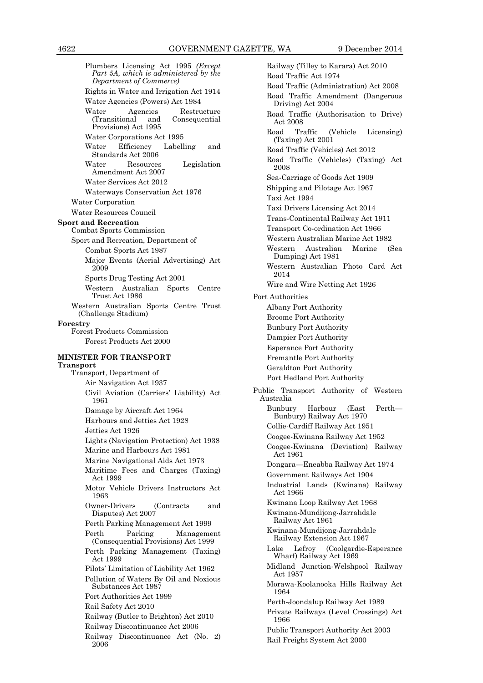Plumbers Licensing Act 1995 *(Except Part 5A, which is administered by the Department of Commerce)* Rights in Water and Irrigation Act 1914 Water Agencies (Powers) Act 1984 Water Agencies Restructure<br>(Transitional and Consequential  $(Transitional$  and Provisions) Act 1995 Water Corporations Act 1995 Water Efficiency Labelling and Standards Act 2006 Water Resources Legislation Amendment Act 2007 Water Services Act 2012 Waterways Conservation Act 1976 Water Corporation Water Resources Council **Sport and Recreation** Combat Sports Commission Sport and Recreation, Department of Combat Sports Act 1987 Major Events (Aerial Advertising) Act 2009 Sports Drug Testing Act 2001 Western Australian Sports Centre Trust Act 1986 Western Australian Sports Centre Trust (Challenge Stadium) **Forestry** Forest Products Commission Forest Products Act 2000 **MINISTER FOR TRANSPORT Transport** Transport, Department of Air Navigation Act 1937 Civil Aviation (Carriers' Liability) Act 1961 Damage by Aircraft Act 1964 Harbours and Jetties Act 1928 Jetties Act 1926 Lights (Navigation Protection) Act 1938 Marine and Harbours Act 1981 Marine Navigational Aids Act 1973 Maritime Fees and Charges (Taxing) Act 1999 Motor Vehicle Drivers Instructors Act 1963 Owner-Drivers (Contracts and Disputes) Act 2007 Perth Parking Management Act 1999 Perth Parking Management (Consequential Provisions) Act 1999 Perth Parking Management (Taxing) Act 1999 Pilots' Limitation of Liability Act 1962 Pollution of Waters By Oil and Noxious Substances Act 1987 Port Authorities Act 1999 Rail Safety Act 2010 Railway (Butler to Brighton) Act 2010 Railway Discontinuance Act 2006 Railway Discontinuance Act (No. 2) 2006

Railway (Tilley to Karara) Act 2010 Road Traffic Act 1974 Road Traffic (Administration) Act 2008 Road Traffic Amendment (Dangerous Driving) Act 2004 Road Traffic (Authorisation to Drive) Act 2008 Road Traffic (Vehicle Licensing) (Taxing) Act 2001 Road Traffic (Vehicles) Act 2012 Road Traffic (Vehicles) (Taxing) Act 2008 Sea-Carriage of Goods Act 1909 Shipping and Pilotage Act 1967 Taxi Act 1994 Taxi Drivers Licensing Act 2014 Trans-Continental Railway Act 1911 Transport Co-ordination Act 1966 Western Australian Marine Act 1982 Western Australian Marine (Sea Dumping) Act 1981 Western Australian Photo Card Act 2014 Wire and Wire Netting Act 1926 Port Authorities Albany Port Authority Broome Port Authority Bunbury Port Authority Dampier Port Authority Esperance Port Authority Fremantle Port Authority Geraldton Port Authority Port Hedland Port Authority Public Transport Authority of Western Australia Bunbury Harbour (East Perth— Bunbury) Railway Act 1970 Collie-Cardiff Railway Act 1951 Coogee-Kwinana Railway Act 1952 Coogee-Kwinana (Deviation) Railway Act 1961 Dongara—Eneabba Railway Act 1974 Government Railways Act 1904 Industrial Lands (Kwinana) Railway Act 1966 Kwinana Loop Railway Act 1968 Kwinana-Mundijong-Jarrahdale Railway Act 1961 Kwinana-Mundijong-Jarrahdale Railway Extension Act 1967 Lake Lefroy (Coolgardie-Esperance Wharf) Railway Act 1969 Midland Junction-Welshpool Railway Act 1957 Morawa-Koolanooka Hills Railway Act 1964 Perth-Joondalup Railway Act 1989 Private Railways (Level Crossings) Act 1966 Public Transport Authority Act 2003 Rail Freight System Act 2000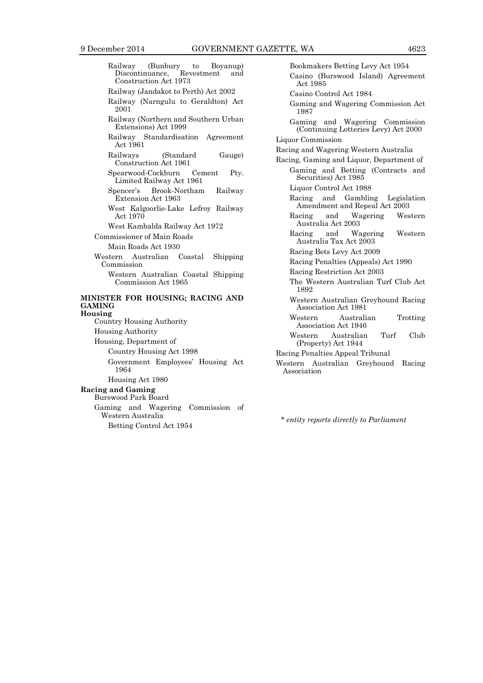| Railway (Bunbury to Boyanup)<br>Discontinuance, Revestment<br>and<br>Construction Act 1973 |
|--------------------------------------------------------------------------------------------|
| Railway (Jandakot to Perth) Act 2002                                                       |
| Railway (Narngulu to Geraldton) Act<br>2001                                                |
| Railway (Northern and Southern Urban<br>Extensions) Act 1999                               |
| Railway Standardisation Agreement<br>Act 1961                                              |
| Railways<br>(Standard)<br>Gauge)<br>Construction Act 1961                                  |
| Spearwood-Cockburn<br>Cement<br>Pty.<br>Limited Railway Act 1961                           |
| Spencer's Brook-Northam Railway<br>Extension Act 1963                                      |
| West Kalgoorlie-Lake Lefroy Railway<br>Act 1970                                            |
| West Kambalda Railway Act 1972                                                             |
| Commissioner of Main Roads                                                                 |
| Main Roads Act 1930                                                                        |
| Western Australian Coastal Shipping<br>Commission                                          |
| Western Australian Coastal Shipping<br>Commission Act 1965                                 |
| MINISTER FOR HOUSING; RACING AND<br><b>GAMING</b>                                          |
| Housing<br>Country Housing Authority                                                       |
| <b>Housing Authority</b>                                                                   |
| Housing, Department of                                                                     |
| Country Housing Act 1998                                                                   |
| Government Employees' Housing Act<br>1964                                                  |
| Housing Act 1980                                                                           |
| <b>Racing and Gaming</b><br><b>Burswood Park Board</b>                                     |
| Gaming and Wagering Commission of<br>Western Australia                                     |
| Betting Control Act 1954                                                                   |

Bookmakers Betting Levy Act 1954 Casino (Burswood Island) Agreement Act 1985 Casino Control Act 1984 Gaming and Wagering Commission Act 1987 Gaming and Wagering Commission (Continuing Lotteries Levy) Act 2000 Liquor Commission Racing and Wagering Western Australia Racing, Gaming and Liquor, Department of Gaming and Betting (Contracts and Securities) Act 1985 Liquor Control Act 1988 Racing and Gambling Legislation Amendment and Repeal Act 2003 Racing and Wagering Western Australia Act 2003 Racing and Wagering Western Australia Tax Act 2003 Racing Bets Levy Act 2009 Racing Penalties (Appeals) Act 1990 Racing Restriction Act 2003 The Western Australian Turf Club Act 1892 Western Australian Greyhound Racing Association Act 1981 Western Australian Trotting Association Act 1946 Western Australian Turf Club (Property) Act 1944 Racing Penalties Appeal Tribunal Western Australian Greyhound Racing Association

*\* entity reports directly to Parliament*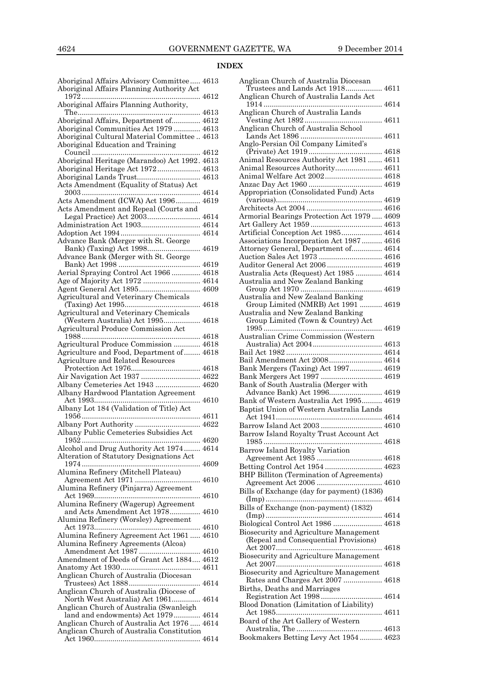# **INDEX**

| Aboriginal Affairs Advisory Committee 4613<br>Aboriginal Affairs Planning Authority Act |  |
|-----------------------------------------------------------------------------------------|--|
| Aboriginal Affairs Planning Authority,                                                  |  |
|                                                                                         |  |
| Aboriginal Affairs, Department of 4612                                                  |  |
| Aboriginal Communities Act 1979  4613                                                   |  |
| Aboriginal Cultural Material Committee  4613                                            |  |
| Aboriginal Education and Training                                                       |  |
|                                                                                         |  |
| Aboriginal Heritage (Marandoo) Act 1992. 4613                                           |  |
| Aboriginal Heritage Act 1972 4613                                                       |  |
| Aboriginal Lands Trust 4613<br>Acts Amendment (Equality of Status) Act                  |  |
|                                                                                         |  |
| Acts Amendment (ICWA) Act 1996 4619                                                     |  |
| Acts Amendment and Repeal (Courts and                                                   |  |
| Legal Practice) Act 2003 4614                                                           |  |
| Administration Act 1903 4614                                                            |  |
|                                                                                         |  |
| Advance Bank (Merger with St. George                                                    |  |
|                                                                                         |  |
| Advance Bank (Merger with St. George                                                    |  |
|                                                                                         |  |
| Aerial Spraying Control Act 1966  4618                                                  |  |
| Age of Majority Act 1972  4614                                                          |  |
| Agent General Act 1895 4609                                                             |  |
| Agricultural and Veterinary Chemicals                                                   |  |
| Agricultural and Veterinary Chemicals                                                   |  |
| (Western Australia) Act 1995 4618                                                       |  |
| Agricultural Produce Commission Act                                                     |  |
|                                                                                         |  |
| Agricultural Produce Commission  4618                                                   |  |
| Agriculture and Food, Department of  4618                                               |  |
| Agriculture and Related Resources                                                       |  |
|                                                                                         |  |
|                                                                                         |  |
| Air Navigation Act 1937  4622                                                           |  |
| Albany Cemeteries Act 1943  4620                                                        |  |
| Albany Hardwood Plantation Agreement                                                    |  |
|                                                                                         |  |
| Albany Lot 184 (Validation of Title) Act                                                |  |
| Albany Port Authority  4622                                                             |  |
| Albany Public Cemeteries Subsidies Act                                                  |  |
|                                                                                         |  |
| Alcohol and Drug Authority Act 1974 4614                                                |  |
| Alteration of Statutory Designations Act                                                |  |
|                                                                                         |  |
| Alumina Refinery (Mitchell Plateau)                                                     |  |
|                                                                                         |  |
| Alumina Refinery (Pinjarra) Agreement                                                   |  |
|                                                                                         |  |
| Alumina Refinery (Wagerup) Agreement<br>and Acts Amendment Act 1978 4610                |  |
| Alumina Refinery (Worsley) Agreement                                                    |  |
|                                                                                         |  |
| Alumina Refinery Agreement Act 1961  4610                                               |  |
| Alumina Refinery Agreements (Alcoa)                                                     |  |
| Amendment Act 1987  4610                                                                |  |
| Amendment of Deeds of Grant Act 1884 4612                                               |  |
|                                                                                         |  |
| Anglican Church of Australia (Diocesan                                                  |  |
| Anglican Church of Australia (Diocese of                                                |  |
| North West Australia) Act 1961 4614                                                     |  |
| Anglican Church of Australia (Swanleigh                                                 |  |
| land and endowments) Act 1979 4614                                                      |  |
| Anglican Church of Australia Act 1976  4614                                             |  |
| Anglican Church of Australia Constitution                                               |  |

| Anglican Church of Australia Diocesan           |  |
|-------------------------------------------------|--|
| Trustees and Lands Act 1918 4611                |  |
| Anglican Church of Australia Lands Act          |  |
|                                                 |  |
| Anglican Church of Australia Lands              |  |
|                                                 |  |
| Anglican Church of Australia School             |  |
|                                                 |  |
| Anglo-Persian Oil Company Limited's             |  |
|                                                 |  |
| Animal Resources Authority Act 1981 4611        |  |
| Animal Resources Authority 4611                 |  |
|                                                 |  |
| Animal Welfare Act 2002 4618                    |  |
|                                                 |  |
| Appropriation (Consolidated Fund) Acts          |  |
|                                                 |  |
|                                                 |  |
| Armorial Bearings Protection Act 1979 4609      |  |
|                                                 |  |
| Artificial Conception Act 1985 4614             |  |
| Associations Incorporation Act 1987 4616        |  |
| Attorney General, Department of 4614            |  |
| Auction Sales Act 1973  4616                    |  |
| Auditor General Act 2006  4619                  |  |
| Australia Acts (Request) Act 1985  4614         |  |
| Australia and New Zealand Banking               |  |
|                                                 |  |
| Australia and New Zealand Banking               |  |
| Group Limited (NMRB) Act 1991  4619             |  |
| Australia and New Zealand Banking               |  |
| Group Limited (Town & Country) Act              |  |
|                                                 |  |
| Australian Crime Commission (Western            |  |
|                                                 |  |
|                                                 |  |
| Bail Amendment Act 2008 4614                    |  |
| Bank Mergers (Taxing) Act 1997 4619             |  |
| Bank Mergers Act 1997  4619                     |  |
| Bank of South Australia (Merger with            |  |
| Advance Bank) Act 1996 4619                     |  |
| Bank of Western Australia Act 1995 4619         |  |
| Baptist Union of Western Australia Lands        |  |
|                                                 |  |
| Barrow Island Act 2003  4610                    |  |
| Barrow Island Royalty Trust Account Act         |  |
|                                                 |  |
|                                                 |  |
|                                                 |  |
| Barrow Island Royalty Variation                 |  |
| Agreement Act 1985  4618                        |  |
| Betting Control Act 1954  4623                  |  |
| <b>BHP Billiton (Termination of Agreements)</b> |  |
|                                                 |  |
| Bills of Exchange (day for payment) (1836)      |  |
|                                                 |  |
| Bills of Exchange (non-payment) (1832)          |  |
|                                                 |  |
| Biological Control Act 1986  4618               |  |
| <b>Biosecurity and Agriculture Management</b>   |  |
| (Repeal and Consequential Provisions)           |  |
|                                                 |  |
| Biosecurity and Agriculture Management          |  |
|                                                 |  |
| Biosecurity and Agriculture Management          |  |
| Rates and Charges Act 2007  4618                |  |
| Births, Deaths and Marriages                    |  |
| Registration Act 1998 4614                      |  |
| Blood Donation (Limitation of Liability)        |  |
|                                                 |  |
| Board of the Art Gallery of Western             |  |
| Bookmakers Betting Levy Act 1954 4623           |  |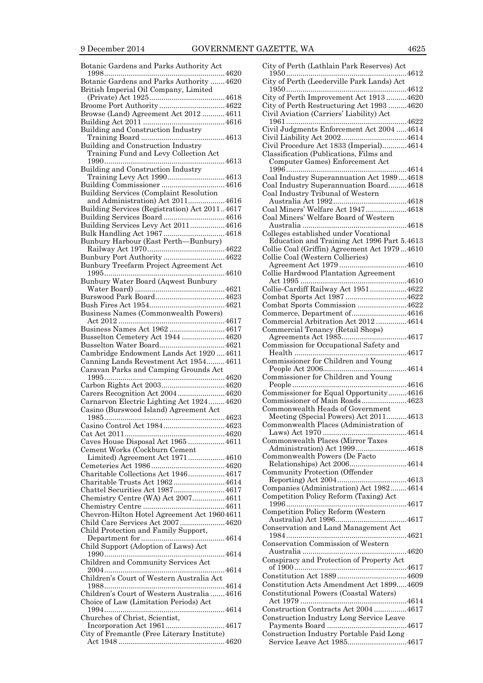| Botanic Gardens and Parks Authority Act                                          |
|----------------------------------------------------------------------------------|
| 4620<br>Botanic Gardens and Parks Authority  4620                                |
| British Imperial Oil Company, Limited                                            |
|                                                                                  |
| Broome Port Authority  4622                                                      |
| Browse (Land) Agreement Act 2012  4611                                           |
|                                                                                  |
| Building and Construction Industry                                               |
|                                                                                  |
| Building and Construction Industry                                               |
| Training Fund and Levy Collection Act                                            |
| Building and Construction Industry                                               |
| Training Levy Act 1990 4613                                                      |
|                                                                                  |
| Building Services (Complaint Resolution                                          |
| and Administration) Act 20114616                                                 |
| Building Services (Registration) Act 20114617                                    |
| Building Services Board4616                                                      |
| Building Services Levy Act 2011 4616                                             |
| Bulk Handling Act 1967 4618                                                      |
| Bunbury Harbour (East Perth-Bunbury)                                             |
| Bunbury Port Authority4622                                                       |
| Bunbury Treefarm Project Agreement Act                                           |
|                                                                                  |
| Bunbury Water Board (Aqwest Bunbury                                              |
|                                                                                  |
|                                                                                  |
|                                                                                  |
| Business Names (Commonwealth Powers)                                             |
| Business Names Act 1962  4617                                                    |
| Busselton Cemetery Act 1944 4620                                                 |
|                                                                                  |
| Cambridge Endowment Lands Act 1920  4611                                         |
|                                                                                  |
|                                                                                  |
| Canning Lands Revestment Act 1954 4611<br>Caravan Parks and Camping Grounds Act  |
|                                                                                  |
|                                                                                  |
| Carers Recognition Act 20044620                                                  |
| Carnarvon Electric Lighting Act 1924 4620                                        |
| Casino (Burswood Island) Agreement Act                                           |
|                                                                                  |
| Casino Control Act 19844623                                                      |
| Caves House Disposal Act 19654611                                                |
| Cement Works (Cockburn Cement                                                    |
| Limited) Agreement Act 19714610                                                  |
|                                                                                  |
| Charitable Collections Act 19464617                                              |
| Charitable Trusts Act 19624614                                                   |
| Chattel Securities Act 19874617                                                  |
| Chemistry Centre (WA) Act 20074611                                               |
|                                                                                  |
| Chevron-Hilton Hotel Agreement Act 19604611<br>Child Care Services Act 2007 4620 |
| Child Protection and Family Support,                                             |
|                                                                                  |
| Child Support (Adoption of Laws) Act                                             |
|                                                                                  |
| Children and Community Services Act                                              |
|                                                                                  |
| Children's Court of Western Australia Act                                        |
| Children's Court of Western Australia  4616                                      |
| Choice of Law (Limitation Periods) Act                                           |
|                                                                                  |
| Churches of Christ, Scientist,                                                   |
| Incorporation Act 19614617                                                       |
| City of Fremantle (Free Literary Institute)                                      |

| City of Perth (Leederville Park Lands) Act                                          |
|-------------------------------------------------------------------------------------|
|                                                                                     |
| City of Perth Improvement Act 19134620<br>City of Perth Restructuring Act 1993 4620 |
| Civil Aviation (Carriers' Liability) Act                                            |
|                                                                                     |
| Civil Judgments Enforcement Act 2004  4614                                          |
|                                                                                     |
| Civil Procedure Act 1833 (Imperial)4614                                             |
| Classification (Publications, Films and<br>Computer Games) Enforcement Act          |
|                                                                                     |
| Coal Industry Superannuation Act 19894618                                           |
| Coal Industry Superannuation Board4618                                              |
| Coal Industry Tribunal of Western                                                   |
| Coal Miners' Welfare Act 1947 4618                                                  |
| Coal Miners' Welfare Board of Western                                               |
|                                                                                     |
| Colleges established under Vocational                                               |
| Education and Training Act 1996 Part 5.4613                                         |
| Collie Coal (Griffin) Agreement Act 19794610<br>Collie Coal (Western Collieries)    |
|                                                                                     |
| Collie Hardwood Plantation Agreement                                                |
|                                                                                     |
| Collie-Cardiff Railway Act 19514622                                                 |
| Combat Sports Act 1987 4622                                                         |
| Combat Sports Commission 4622<br>Commerce, Department of4616                        |
| Commercial Arbitration Act 2012 4614                                                |
| Commercial Tenancy (Retail Shops)                                                   |
|                                                                                     |
| Commission for Occupational Safety and                                              |
|                                                                                     |
|                                                                                     |
| Commissioner for Children and Young                                                 |
| Commissioner for Children and Young                                                 |
|                                                                                     |
| Commissioner for Equal Opportunity4616                                              |
| Commissioner of Main Roads4623                                                      |
| Commonwealth Heads of Government                                                    |
| Meeting (Special Powers) Act 20114613<br>Commonwealth Places (Administration of     |
|                                                                                     |
| Commonwealth Places (Mirror Taxes                                                   |
| Administration) Act 19994618                                                        |
| Commonwealth Powers (De Facto                                                       |
| Relationships) Act 20064614<br>Community Protection (Offender                       |
|                                                                                     |
| Companies (Administration) Act 19824614                                             |
| Competition Policy Reform (Taxing) Act                                              |
|                                                                                     |
| Competition Policy Reform (Western                                                  |
| Conservation and Land Management Act                                                |
|                                                                                     |
| Conservation Commission of Western                                                  |
|                                                                                     |
| Conspiracy and Protection of Property Act                                           |
|                                                                                     |
| Constitution Acts Amendment Act 18994609                                            |
| Constitutional Powers (Coastal Waters)                                              |
|                                                                                     |
| Construction Contracts Act 2004 4617<br>Construction Industry Long Service Leave    |
|                                                                                     |
| Construction Industry Portable Paid Long<br>Service Leave Act 19854617              |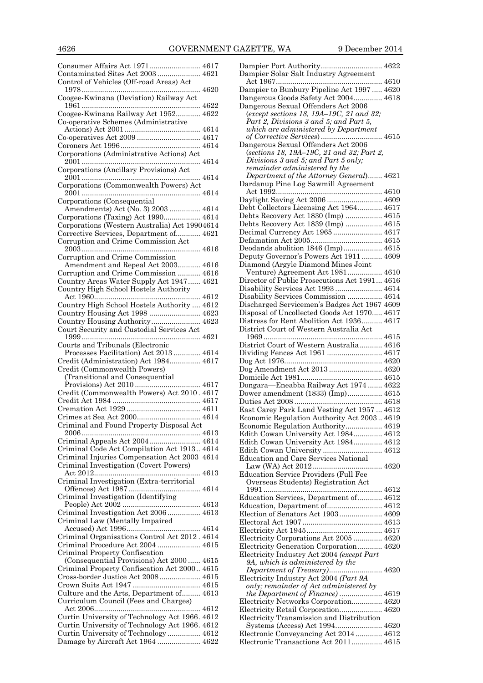| Consumer Affairs Act 1971 4617                                                          |  |
|-----------------------------------------------------------------------------------------|--|
| Contaminated Sites Act 2003 4621                                                        |  |
| Control of Vehicles (Off-road Areas) Act                                                |  |
| Coogee-Kwinana (Deviation) Railway Act                                                  |  |
| Coogee-Kwinana Railway Act 1952 4622                                                    |  |
| Co-operative Schemes (Administrative                                                    |  |
|                                                                                         |  |
|                                                                                         |  |
|                                                                                         |  |
| Corporations (Administrative Actions) Act                                               |  |
| Corporations (Ancillary Provisions) Act                                                 |  |
| Corporations (Commonwealth Powers) Act                                                  |  |
| Corporations (Consequential                                                             |  |
| Amendments) Act (No. 3) 2003  4614                                                      |  |
| Corporations (Taxing) Act 1990 4614                                                     |  |
| Corporations (Western Australia) Act 19904614                                           |  |
| Corrective Services, Department of 4621                                                 |  |
| Corruption and Crime Commission Act                                                     |  |
| Corruption and Crime Commission                                                         |  |
| Amendment and Repeal Act 2003 4616                                                      |  |
| Corruption and Crime Commission  4616                                                   |  |
| Country Areas Water Supply Act 1947 4621                                                |  |
| Country High School Hostels Authority                                                   |  |
|                                                                                         |  |
| Country High School Hostels Authority  4612                                             |  |
| Country Housing Act 1998  4623                                                          |  |
| Country Housing Authority 4623                                                          |  |
| Court Security and Custodial Services Act                                               |  |
|                                                                                         |  |
| Courts and Tribunals (Electronic                                                        |  |
|                                                                                         |  |
| Processes Facilitation) Act 2013  4614                                                  |  |
| Credit (Administration) Act 1984 4617                                                   |  |
| Credit (Commonwealth Powers)                                                            |  |
| (Transitional and Consequential                                                         |  |
|                                                                                         |  |
| Credit (Commonwealth Powers) Act 2010. 4617                                             |  |
|                                                                                         |  |
|                                                                                         |  |
|                                                                                         |  |
| Criminal and Found Property Disposal Act                                                |  |
| Criminal Appeals Act 2004 4614                                                          |  |
| Criminal Code Act Compilation Act 1913 4614                                             |  |
| Criminal Injuries Compensation Act 2003 4614                                            |  |
| Criminal Investigation (Covert Powers)                                                  |  |
|                                                                                         |  |
| Criminal Investigation (Extra-territorial                                               |  |
| Criminal Investigation (Identifying                                                     |  |
|                                                                                         |  |
| Criminal Investigation Act 2006  4613                                                   |  |
| Criminal Law (Mentally Impaired                                                         |  |
| Criminal Organisations Control Act 2012. 4614                                           |  |
| Criminal Procedure Act 2004  4615                                                       |  |
| Criminal Property Confiscation                                                          |  |
| (Consequential Provisions) Act 2000  4615                                               |  |
| Criminal Property Confiscation Act 2000 4615                                            |  |
| Cross-border Justice Act 2008 4615                                                      |  |
|                                                                                         |  |
| Culture and the Arts, Department of 4613                                                |  |
| Curriculum Council (Fees and Charges)                                                   |  |
|                                                                                         |  |
| Curtin University of Technology Act 1966. 4612                                          |  |
| Curtin University of Technology Act 1966. 4612<br>Curtin University of Technology  4612 |  |

| Dampier Port Authority 4622                                                     |  |
|---------------------------------------------------------------------------------|--|
| Dampier Solar Salt Industry Agreement                                           |  |
|                                                                                 |  |
|                                                                                 |  |
| Dampier to Bunbury Pipeline Act 1997  4620                                      |  |
| Dangerous Goods Safety Act 2004 4618                                            |  |
|                                                                                 |  |
| Dangerous Sexual Offenders Act 2006                                             |  |
| (except sections 18, 19A-19C, 21 and 32;                                        |  |
| Part 2, Divisions 3 and 5; and Part 5,                                          |  |
|                                                                                 |  |
| which are administered by Department                                            |  |
| of Corrective Services) 4615                                                    |  |
| Dangerous Sexual Offenders Act 2006                                             |  |
|                                                                                 |  |
| (sections 18, 19A-19C, 21 and 32; Part 2,                                       |  |
| Divisions 3 and 5; and Part 5 only;                                             |  |
| remainder administered by the                                                   |  |
|                                                                                 |  |
| Department of the Attorney General) 4621                                        |  |
| Dardanup Pine Log Sawmill Agreement                                             |  |
|                                                                                 |  |
|                                                                                 |  |
| Daylight Saving Act 2006  4609                                                  |  |
| Debt Collectors Licensing Act 1964 4617                                         |  |
|                                                                                 |  |
| Debts Recovery Act 1830 (Imp)  4615                                             |  |
| Debts Recovery Act 1839 (Imp)  4615                                             |  |
|                                                                                 |  |
| Decimal Currency Act 1965 4617                                                  |  |
|                                                                                 |  |
|                                                                                 |  |
| Deodands abolition 1846 (Imp) 4615                                              |  |
| Deputy Governor's Powers Act 1911  4609                                         |  |
|                                                                                 |  |
| Diamond (Argyle Diamond Mines Joint                                             |  |
| Venture) Agreement Act 1981 4610                                                |  |
| Director of Public Prosecutions Act 1991 4616                                   |  |
|                                                                                 |  |
| Disability Services Act 1993 4614                                               |  |
| Disability Services Commission  4614                                            |  |
|                                                                                 |  |
| Discharged Servicemen's Badges Act 1967 4609                                    |  |
| Disposal of Uncollected Goods Act 1970 4617                                     |  |
|                                                                                 |  |
| Distress for Rent Abolition Act 1936 4617                                       |  |
| District Court of Western Australia Act                                         |  |
|                                                                                 |  |
|                                                                                 |  |
| District Court of Western Australia 4616                                        |  |
|                                                                                 |  |
|                                                                                 |  |
| Dividing Fences Act 1961  4617                                                  |  |
|                                                                                 |  |
|                                                                                 |  |
| Dog Amendment Act 2013  4620                                                    |  |
|                                                                                 |  |
|                                                                                 |  |
| Dongara-Eneabba Railway Act 1974  4622                                          |  |
| Dower amendment (1833) (Imp) 4615                                               |  |
|                                                                                 |  |
|                                                                                 |  |
| East Carey Park Land Vesting Act 1957  4612                                     |  |
|                                                                                 |  |
| Economic Regulation Authority Act 2003 4619                                     |  |
| Economic Regulation Authority 4619                                              |  |
| Edith Cowan University Act 1984 4612                                            |  |
|                                                                                 |  |
| Edith Cowan University Act 1984 4612                                            |  |
| Edith Cowan University  4612                                                    |  |
|                                                                                 |  |
| <b>Education and Care Services National</b>                                     |  |
|                                                                                 |  |
| <b>Education Service Providers (Full Fee</b>                                    |  |
|                                                                                 |  |
| Overseas Students) Registration Act                                             |  |
|                                                                                 |  |
|                                                                                 |  |
| Education Services, Department of 4612                                          |  |
| Education, Department of 4612                                                   |  |
| Election of Senators Act 1903 4609                                              |  |
|                                                                                 |  |
|                                                                                 |  |
|                                                                                 |  |
|                                                                                 |  |
| Electricity Corporations Act 2005  4620                                         |  |
| Electricity Generation Corporation 4620                                         |  |
| Electricity Industry Act 2004 (except Part                                      |  |
|                                                                                 |  |
| 9A, which is administered by the                                                |  |
|                                                                                 |  |
| Electricity Industry Act 2004 (Part 9A                                          |  |
|                                                                                 |  |
| only; remainder of Act administered by                                          |  |
|                                                                                 |  |
|                                                                                 |  |
| Electricity Networks Corporation 4620                                           |  |
| Electricity Retail Corporation 4620                                             |  |
| Electricity Transmission and Distribution                                       |  |
|                                                                                 |  |
| Systems (Access) Act 1994 4620                                                  |  |
| Electronic Conveyancing Act 2014  4612<br>Electronic Transactions Act 2011 4615 |  |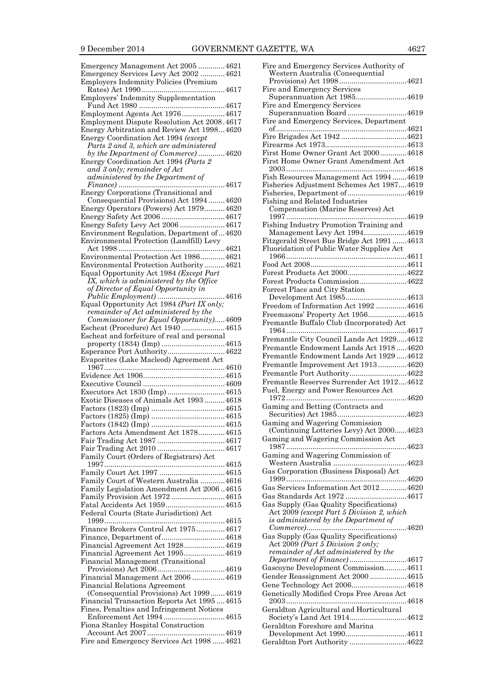| Emergency Management Act 2005 4621                                                               |               |
|--------------------------------------------------------------------------------------------------|---------------|
| Emergency Services Levy Act 2002  4621<br><b>Employers Indemnity Policies (Premium</b>           |               |
|                                                                                                  |               |
| Employers' Indemnity Supplementation                                                             |               |
|                                                                                                  |               |
| Employment Agents Act 19764617                                                                   |               |
| Employment Dispute Resolution Act 2008.4617<br>Energy Arbitration and Review Act 19984620        |               |
| Energy Coordination Act 1994 (except                                                             |               |
| Parts 2 and 3, which are administered                                                            |               |
| by the Department of Commerce) 4620                                                              |               |
| Energy Coordination Act 1994 (Parts 2                                                            |               |
| and 3 only; remainder of Act<br>administered by the Department of                                |               |
|                                                                                                  | $\ldots$ 4617 |
| Energy Corporations (Transitional and                                                            |               |
| Consequential Provisions) Act 1994 4620                                                          |               |
| Energy Operators (Powers) Act 19794620                                                           |               |
| Energy Safety Levy Act 2006 4617                                                                 |               |
| Environment Regulation, Department of  4620                                                      |               |
| Environmental Protection (Landfill) Levy                                                         |               |
|                                                                                                  |               |
| Environmental Protection Act 19864621                                                            |               |
| Environmental Protection Authority4621                                                           |               |
| Equal Opportunity Act 1984 (Except Part<br>$\overline{IX}$ , which is administered by the Office |               |
| of Director of Equal Opportunity in                                                              |               |
|                                                                                                  |               |
| Equal Opportunity Act 1984 (Part IX only;                                                        |               |
| remainder of Act administered by the                                                             |               |
| Commissioner for Equal Opportunity)4609<br>Escheat (Procedure) Act 1940 4615                     |               |
| Escheat and forfeiture of real and personal                                                      |               |
| property (1834) (Imp) 4615                                                                       |               |
| Esperance Port Authority4622                                                                     |               |
|                                                                                                  |               |
| Evaporites (Lake Macleod) Agreement Act                                                          |               |
|                                                                                                  |               |
|                                                                                                  |               |
|                                                                                                  |               |
| Executors Act 1830 (Imp)  4615<br>Exotic Diseases of Animals Act 1993 4618                       |               |
|                                                                                                  |               |
|                                                                                                  |               |
|                                                                                                  |               |
| Factors Acts Amendment Act 1878 4615                                                             |               |
|                                                                                                  |               |
| Family Court (Orders of Registrars) Act                                                          |               |
|                                                                                                  |               |
|                                                                                                  |               |
| Family Court of Western Australia  4616                                                          |               |
| Family Legislation Amendment Act 20064615                                                        |               |
| Family Provision Act 1972 4615<br>Fatal Accidents Act 19594615                                   |               |
| Federal Courts (State Jurisdiction) Act                                                          |               |
|                                                                                                  |               |
| Finance Brokers Control Act 1975 4617                                                            |               |
| Finance, Department of4618                                                                       |               |
| Financial Agreement Act 19284619                                                                 |               |
| Financial Agreement Act 19954619<br>Financial Management (Transitional                           |               |
|                                                                                                  |               |
| Financial Management Act 2006  4619                                                              |               |
| <b>Financial Relations Agreement</b>                                                             |               |
| (Consequential Provisions) Act 19994619                                                          |               |
| Financial Transaction Reports Act 19954615<br>Fines, Penalties and Infringement Notices          |               |
| Enforcement Act 19944615                                                                         |               |
| Fiona Stanley Hospital Construction                                                              |               |
| Fire and Emergency Services Act 1998  4621                                                       |               |

| Fire and Emergency Services Authority of                          |
|-------------------------------------------------------------------|
| Western Australia (Consequential                                  |
| Fire and Emergency Services                                       |
| Superannuation Act 19854619                                       |
| Fire and Emergency Services                                       |
| Superannuation Board4619                                          |
| Fire and Emergency Services, Department                           |
|                                                                   |
|                                                                   |
|                                                                   |
| First Home Owner Grant Act 20004618                               |
| First Home Owner Grant Amendment Act                              |
| Fish Resources Management Act 19944619                            |
| Fisheries Adjustment Schemes Act 19874619                         |
| Fisheries, Department of4619                                      |
| Fishing and Related Industries                                    |
| Compensation (Marine Reserves) Act                                |
|                                                                   |
| Fishing Industry Promotion Training and                           |
| Management Levy Act 19944619                                      |
| Fitzgerald Street Bus Bridge Act 1991 4613                        |
| Fluoridation of Public Water Supplies Act                         |
|                                                                   |
| Forest Products Act 20004622                                      |
| Forest Products Commission4622                                    |
| Forrest Place and City Station                                    |
| Development Act 19854613                                          |
| Freedom of Information Act 1992 4616                              |
| Freemasons' Property Act 19564615                                 |
| Fremantle Buffalo Club (Incorporated) Act                         |
|                                                                   |
| Fremantle City Council Lands Act 19294612                         |
| Fremantle Endowment Lands Act 19184620                            |
| Fremantle Endowment Lands Act 1929  4612                          |
|                                                                   |
| Fremantle Improvement Act 19134620                                |
| Fremantle Port Authority4622                                      |
| Fremantle Reserves Surrender Act 19124612                         |
| Fuel, Energy and Power Resources Act                              |
|                                                                   |
| Gaming and Betting (Contracts and                                 |
|                                                                   |
| Gaming and Wagering Commission                                    |
| (Continuing Lotteries Levy) Act 20004623                          |
| Gaming and Wagering Commission Act                                |
| 4623                                                              |
| Gaming and Wagering Commission of                                 |
|                                                                   |
| Gas Corporation (Business Disposal) Act                           |
| Gas Services Information Act 20124620                             |
| Gas Standards Act 1972 4617                                       |
| Gas Supply (Gas Quality Specifications)                           |
| Act 2009 (except Part 5 Division 2, which                         |
| is administered by the Department of                              |
|                                                                   |
| Gas Supply (Gas Quality Specifications)                           |
| Act 2009 (Part 5 Division 2 only;                                 |
| remainder of Act administered by the                              |
| Department of Finance)4617<br>Gascoyne Development Commission4611 |
| Gender Reassignment Act 2000 4615                                 |
| Gene Technology Act 20064618                                      |
| Genetically Modified Crops Free Areas Act                         |
|                                                                   |
| Geraldton Agricultural and Horticultural                          |
|                                                                   |
| Geraldton Foreshore and Marina                                    |
| Development Act 19904611<br>Geraldton Port Authority 4622         |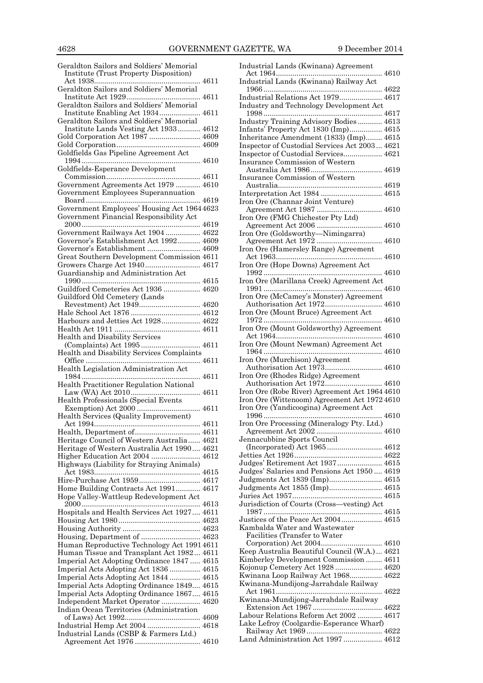| Geraldton Sailors and Soldiers' Memorial                     |  |
|--------------------------------------------------------------|--|
| <b>Institute (Trust Property Disposition)</b>                |  |
|                                                              |  |
| Geraldton Sailors and Soldiers' Memorial                     |  |
|                                                              |  |
| Geraldton Sailors and Soldiers' Memorial                     |  |
| Institute Enabling Act 1934 4611                             |  |
| Geraldton Sailors and Soldiers' Memorial                     |  |
| Institute Lands Vesting Act 1933 4612                        |  |
| Gold Corporation Act 1987  4609                              |  |
|                                                              |  |
|                                                              |  |
| Goldfields Gas Pipeline Agreement Act                        |  |
|                                                              |  |
| Goldfields-Esperance Development                             |  |
|                                                              |  |
| Government Agreements Act 1979  4610                         |  |
| Government Employees Superannuation                          |  |
|                                                              |  |
| Government Employees' Housing Act 19644623                   |  |
|                                                              |  |
| Government Financial Responsibility Act                      |  |
|                                                              |  |
| Government Railways Act 1904 4622                            |  |
| Governor's Establishment Act 1992 4609                       |  |
| Governor's Establishment  4609                               |  |
| Great Southern Development Commission 4611                   |  |
|                                                              |  |
| Guardianship and Administration Act                          |  |
|                                                              |  |
|                                                              |  |
| Guildford Cemeteries Act 1936  4620                          |  |
| Guildford Old Cemetery (Lands                                |  |
|                                                              |  |
|                                                              |  |
| Harbours and Jetties Act 1928 4622                           |  |
|                                                              |  |
|                                                              |  |
| Health and Disability Services<br>(Complaints) Act 1995 4611 |  |
|                                                              |  |
|                                                              |  |
| Health and Disability Services Complaints                    |  |
|                                                              |  |
| Health Legislation Administration Act                        |  |
|                                                              |  |
|                                                              |  |
| Health Practitioner Regulation National                      |  |
|                                                              |  |
| Health Professionals (Special Events                         |  |
|                                                              |  |
| Health Services (Quality Improvement)                        |  |
|                                                              |  |
| Health, Department of 4611                                   |  |
| Heritage Council of Western Australia 4621                   |  |
| Heritage of Western Australia Act 1990 4621                  |  |
|                                                              |  |
| Higher Education Act 2004  4612                              |  |
| Highways (Liability for Straying Animals)                    |  |
|                                                              |  |
| Hire-Purchase Act 1959 4617                                  |  |
| Home Building Contracts Act 1991 4617                        |  |
| Hope Valley-Wattleup Redevelopment Act                       |  |
|                                                              |  |
| Hospitals and Health Services Act 1927 4611                  |  |
|                                                              |  |
|                                                              |  |
|                                                              |  |
| Housing, Department of  4623                                 |  |
| Human Reproductive Technology Act 19914611                   |  |
| Human Tissue and Transplant Act 1982 4611                    |  |
| Imperial Act Adopting Ordinance 1847  4615                   |  |
| Imperial Acts Adopting Act 1836  4615                        |  |
|                                                              |  |
| Imperial Acts Adopting Act 1844  4615                        |  |
| Imperial Acts Adopting Ordinance 1849 4615                   |  |
| Imperial Acts Adopting Ordinance 1867 4615                   |  |
| Independent Market Operator  4620                            |  |
| Indian Ocean Territories (Administration                     |  |
|                                                              |  |
| Industrial Hemp Act 2004  4618                               |  |
| Industrial Lands (CSBP & Farmers Ltd.)                       |  |

| Industrial Lands (Kwinana) Agreement                                         |
|------------------------------------------------------------------------------|
| Industrial Lands (Kwinana) Railway Act                                       |
|                                                                              |
| Industrial Relations Act 1979 4617                                           |
| Industry and Technology Development Act                                      |
| Industry Training Advisory Bodies 4613                                       |
| Infants' Property Act 1830 (Imp) 4615                                        |
| Inheritance Amendment (1833) (Imp) 4615                                      |
| Inspector of Custodial Services Act 2003 4621                                |
| Inspector of Custodial Services 4621                                         |
| <b>Insurance Commission of Western</b>                                       |
| Insurance Commission of Western                                              |
|                                                                              |
| Interpretation Act 1984  4615                                                |
| Iron Ore (Channar Joint Venture)                                             |
| Agreement Act 1987  4610<br>Iron Ore (FMG Chichester Pty Ltd)                |
|                                                                              |
| Iron Ore (Goldsworthy—Nimingarra)                                            |
| Agreement Act 1972  4610                                                     |
| Iron Ore (Hamersley Range) Agreement                                         |
| Iron Ore (Hope Downs) Agreement Act                                          |
|                                                                              |
| Iron Ore (Marillana Creek) Agreement Act                                     |
|                                                                              |
| Iron Ore (McCamey's Monster) Agreement<br>Authorisation Act 1972 4610        |
| Iron Ore (Mount Bruce) Agreement Act                                         |
|                                                                              |
| Iron Ore (Mount Goldsworthy) Agreement                                       |
|                                                                              |
| Iron Ore (Mount Newman) Agreement Act                                        |
| Iron Ore (Murchison) Agreement                                               |
| Authorisation Act 1973 4610                                                  |
| Iron Ore (Rhodes Ridge) Agreement                                            |
| Authorisation Act 1972 4610<br>Iron Ore (Robe River) Agreement Act 1964 4610 |
| Iron Ore (Wittenoom) Agreement Act 1972 4610                                 |
| Iron Ore (Yandicoogina) Agreement Act                                        |
| 1996                                                                         |
|                                                                              |
| Jennacubbine Sports Council                                                  |
| (Incorporated) Act 1965 4612                                                 |
|                                                                              |
| Judges' Retirement Act 1937 4615                                             |
| Judges' Salaries and Pensions Act 1950 4619                                  |
| Judgments Act 1839 (Imp) 4615                                                |
|                                                                              |
| Jurisdiction of Courts (Cross-vesting) Act                                   |
|                                                                              |
| Justices of the Peace Act 2004 4615                                          |
| Kambalda Water and Wastewater                                                |
| Facilities (Transfer to Water                                                |
| Keep Australia Beautiful Council (W.A.) 4621                                 |
| Kimberley Development Commission  4611                                       |
| Kojonup Cemetery Act 1928  4620                                              |
| Kwinana Loop Railway Act 1968 4622                                           |
| Kwinana-Mundijong-Jarrahdale Railway                                         |
|                                                                              |
| Kwinana-Mundijong-Jarrahdale Railway                                         |
| Labour Relations Reform Act 2002  4617                                       |
| Lake Lefroy (Coolgardie-Esperance Wharf)                                     |
|                                                                              |
| Land Administration Act 1997  4612                                           |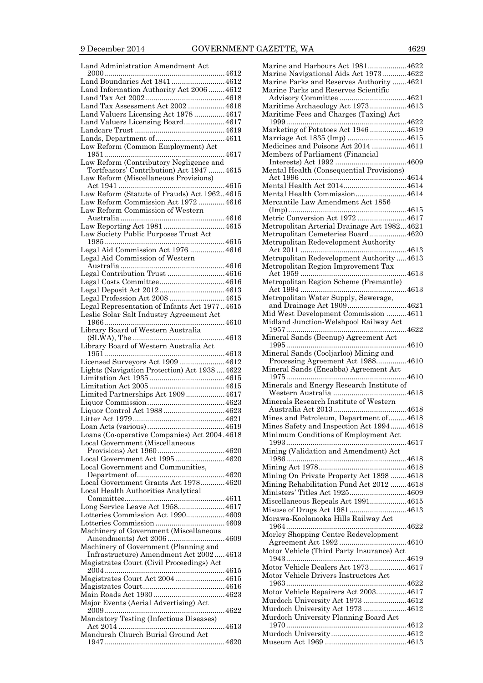| Land Administration Amendment Act                                               |
|---------------------------------------------------------------------------------|
|                                                                                 |
| Land Boundaries Act 1841 4612                                                   |
| Land Information Authority Act 2006  4612                                       |
|                                                                                 |
| Land Tax Assessment Act 2002  4618                                              |
| Land Valuers Licensing Act 1978  4617                                           |
| Land Valuers Licensing Board4617                                                |
|                                                                                 |
|                                                                                 |
| Law Reform (Common Employment) Act                                              |
|                                                                                 |
| Law Reform (Contributory Negligence and                                         |
| Tortfeasors' Contribution) Act 1947  4615                                       |
| Law Reform (Miscellaneous Provisions)                                           |
|                                                                                 |
| Law Reform (Statute of Frauds) Act 19624615                                     |
| Law Reform Commission Act 1972  4616                                            |
| Law Reform Commission of Western                                                |
|                                                                                 |
| Law Reporting Act 1981 4615                                                     |
|                                                                                 |
| Law Society Public Purposes Trust Act                                           |
|                                                                                 |
| Legal Aid Commission Act 1976 4616                                              |
| Legal Aid Commission of Western                                                 |
|                                                                                 |
| Legal Contribution Trust 4616                                                   |
|                                                                                 |
|                                                                                 |
| Legal Profession Act 2008 4615                                                  |
| Legal Representation of Infants Act 19774615                                    |
| Leslie Solar Salt Industry Agreement Act                                        |
|                                                                                 |
| Library Board of Western Australia                                              |
|                                                                                 |
| Library Board of Western Australia Act                                          |
|                                                                                 |
|                                                                                 |
|                                                                                 |
| Licensed Surveyors Act 1909 4612                                                |
| Lights (Navigation Protection) Act 1938  4622                                   |
|                                                                                 |
|                                                                                 |
| Limited Partnerships Act 19094617                                               |
|                                                                                 |
| Liquor Control Act 1988  4623                                                   |
|                                                                                 |
|                                                                                 |
| Loans (Co-operative Companies) Act 2004.4618                                    |
| Local Government (Miscellaneous                                                 |
|                                                                                 |
| Local Government Act 1995 4620                                                  |
| Local Government and Communities,                                               |
|                                                                                 |
| Local Government Grants Act 1978 4620                                           |
| <b>Local Health Authorities Analytical</b>                                      |
|                                                                                 |
| Long Service Leave Act 19584617                                                 |
| Lotteries Commission Act 19904609                                               |
|                                                                                 |
| Machinery of Government (Miscellaneous                                          |
|                                                                                 |
|                                                                                 |
| Machinery of Government (Planning and<br>Infrastructure) Amendment Act 20024613 |
|                                                                                 |
| Magistrates Court (Civil Proceedings) Act                                       |
| Magistrates Court Act 2004 4615                                                 |
|                                                                                 |
|                                                                                 |
|                                                                                 |
| Major Events (Aerial Advertising) Act                                           |
|                                                                                 |
| Mandatory Testing (Infectious Diseases)                                         |
| Mandurah Church Burial Ground Act                                               |

| Marine and Harbours Act 19814622            |  |
|---------------------------------------------|--|
| Marine Navigational Aids Act 19734622       |  |
| Marine Parks and Reserves Authority 4621    |  |
| Marine Parks and Reserves Scientific        |  |
|                                             |  |
|                                             |  |
| Maritime Archaeology Act 19734613           |  |
| Maritime Fees and Charges (Taxing) Act      |  |
|                                             |  |
|                                             |  |
| Marketing of Potatoes Act 19464619          |  |
| Marriage Act 1835 (Imp) 4615                |  |
| Medicines and Poisons Act 2014 4611         |  |
| Members of Parliament (Financial            |  |
|                                             |  |
|                                             |  |
| Mental Health (Consequential Provisions)    |  |
|                                             |  |
| Mental Health Act 20144614                  |  |
| Mental Health Commission4614                |  |
|                                             |  |
| Mercantile Law Amendment Act 1856           |  |
|                                             |  |
| Metric Conversion Act 1972 4617             |  |
| Metropolitan Arterial Drainage Act 19824621 |  |
|                                             |  |
| Metropolitan Cemeteries Board4620           |  |
| Metropolitan Redevelopment Authority        |  |
|                                             |  |
| Metropolitan Redevelopment Authority 4613   |  |
| Metropolitan Region Improvement Tax         |  |
|                                             |  |
|                                             |  |
| Metropolitan Region Scheme (Fremantle)      |  |
|                                             |  |
| Metropolitan Water Supply, Sewerage,        |  |
| and Drainage Act 19094621                   |  |
|                                             |  |
| Mid West Development Commission 4611        |  |
| Midland Junction-Welshpool Railway Act      |  |
|                                             |  |
| Mineral Sands (Beenup) Agreement Act        |  |
|                                             |  |
|                                             |  |
| Mineral Sands (Cooljarloo) Mining and       |  |
| Processing Agreement Act 19884610           |  |
| Mineral Sands (Eneabba) Agreement Act       |  |
|                                             |  |
|                                             |  |
|                                             |  |
| Minerals and Energy Research Institute of   |  |
|                                             |  |
|                                             |  |
| Minerals Research Institute of Western      |  |
|                                             |  |
| Mines and Petroleum, Department of4618      |  |
|                                             |  |
| Mines Safety and Inspection Act 19944618    |  |
| Minimum Conditions of Employment Act        |  |
|                                             |  |
| Mining (Validation and Amendment) Act       |  |
|                                             |  |
|                                             |  |
|                                             |  |
| Mining On Private Property Act 1898 4618    |  |
| Mining Rehabilitation Fund Act 2012 4618    |  |
| Ministers' Titles Act 19254609              |  |
|                                             |  |
| Miscellaneous Repeals Act 19914615          |  |
| Misuse of Drugs Act 19814613                |  |
| Morawa-Koolanooka Hills Railway Act         |  |
|                                             |  |
|                                             |  |
| Morley Shopping Centre Redevelopment        |  |
|                                             |  |
| Motor Vehicle (Third Party Insurance) Act   |  |
|                                             |  |
|                                             |  |
| Motor Vehicle Dealers Act 19734617          |  |
| Motor Vehicle Drivers Instructors Act       |  |
|                                             |  |
| Motor Vehicle Repairers Act 20034617        |  |
|                                             |  |
| Murdoch University Act 1973 4612            |  |
| Murdoch University Act 1973 4612            |  |
| Murdoch University Planning Board Act       |  |
|                                             |  |
|                                             |  |
|                                             |  |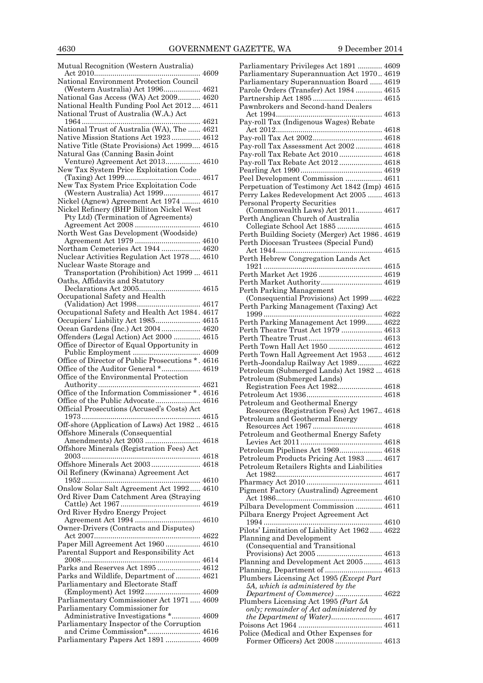Mutual Recognition (Western Australia) Act 2010.................................................... 4609 National Environment Protection Council (Western Australia) Act 1996.................. 4621 National Gas Access (WA) Act 2009........... 4620 National Health Funding Pool Act 2012.... 4611 National Trust of Australia (W.A.) Act 1964.......................................................... 4621 National Trust of Australia (WA), The ...... 4621 Native Mission Stations Act 1923 .............. 4612 Native Title (State Provisions) Act 1999.... 4615 Natural Gas (Canning Basin Joint Venture) Agreement Act 2013................. 4610 New Tax System Price Exploitation Code (Taxing) Act 1999..................................... 4617 New Tax System Price Exploitation Code (Western Australia) Act 1999.................. 4617 Nickel (Agnew) Agreement Act 1974 ......... 4610 Nickel Refinery (BHP Billiton Nickel West Pty Ltd) (Termination of Agreements) Agreement Act 2008 ................................ 4610 North West Gas Development (Woodside) Agreement Act 1979 ................................ 4610 Northam Cemeteries Act 1944 ................... 4620 Nuclear Activities Regulation Act 1978..... 4610 Nuclear Waste Storage and Transportation (Prohibition) Act 1999 ... 4611 Oaths, Affidavits and Statutory Declarations Act 2005.............................. 4615 Occupational Safety and Health (Validation) Act 1998............................... 4617 Occupational Safety and Health Act 1984. 4617 Occupiers' Liability Act 1985...................... 4615 Ocean Gardens (Inc.) Act 2004................... 4620 Offenders (Legal Action) Act 2000 ............. 4615 Office of Director of Equal Opportunity in Public Employment ................................. 4609 Office of Director of Public Prosecutions \* . 4616 Office of the Auditor General \*................... 4619 Office of the Environmental Protection Authority.................................................. 4621 Office of the Information Commissioner \* . 4616 Office of the Public Advocate...................... 4616 Official Prosecutions (Accused's Costs) Act 1973.......................................................... 4615 Off-shore (Application of Laws) Act 1982 .. 4615 Offshore Minerals (Consequential Amendments) Act 2003 ........................... 4618 Offshore Minerals (Registration Fees) Act 2003.......................................................... 4618 Offshore Minerals Act 2003........................ 4618 Oil Refinery (Kwinana) Agreement Act 1952.......................................................... 4610 Onslow Solar Salt Agreement Act 1992..... 4610 Ord River Dam Catchment Area (Straying Cattle) Act 1967 ....................................... 4619 Ord River Hydro Energy Project Agreement Act 1994 ................................ 4610 Owner-Drivers (Contracts and Disputes) Act 2007.................................................... 4622 Paper Mill Agreement Act 1960 ................. 4610 Parental Support and Responsibility Act 2008.......................................................... 4614 Parks and Reserves Act 1895 ..................... 4612 Parks and Wildlife, Department of ............ 4621 Parliamentary and Electorate Staff (Employment) Act 1992........................... 4609 Parliamentary Commissioner Act 1971 ..... 4609 Parliamentary Commissioner for Administrative Investigations \*.............. 4609 Parliamentary Inspector of the Corruption and Crime Commission\*.......................... 4616 Parliamentary Papers Act 1891 ................. 4609

| Parliamentary Privileges Act 1891  4609                                |  |
|------------------------------------------------------------------------|--|
| Parliamentary Superannuation Act 1970 4619                             |  |
| Parliamentary Superannuation Board  4619                               |  |
| Parole Orders (Transfer) Act 1984  4615                                |  |
|                                                                        |  |
| Pawnbrokers and Second-hand Dealers                                    |  |
|                                                                        |  |
| Pay-roll Tax (Indigenous Wages) Rebate                                 |  |
|                                                                        |  |
| Pay-roll Tax Assessment Act 2002 4618                                  |  |
| Pay-roll Tax Rebate Act 2010  4618                                     |  |
| Pay-roll Tax Rebate Act 2012  4618                                     |  |
|                                                                        |  |
| Peel Development Commission  4611                                      |  |
| Perpetuation of Testimony Act 1842 (Imp) 4615                          |  |
| Perry Lakes Redevelopment Act 2005  4613                               |  |
| Personal Property Securities                                           |  |
| (Commonwealth Laws) Act 2011 4617                                      |  |
| Perth Anglican Church of Australia<br>Collegiate School Act 1885  4615 |  |
|                                                                        |  |
| Perth Building Society (Merger) Act 1986. 4619                         |  |
| Perth Diocesan Trustees (Special Fund)                                 |  |
| Perth Hebrew Congregation Lands Act                                    |  |
|                                                                        |  |
| Perth Market Act 1926  4619                                            |  |
| Perth Market Authority 4619                                            |  |
| Perth Parking Management                                               |  |
| (Consequential Provisions) Act 1999  4622                              |  |
| Perth Parking Management (Taxing) Act                                  |  |
|                                                                        |  |
| Perth Parking Management Act 1999 4622                                 |  |
| Perth Theatre Trust Act 1979  4613                                     |  |
| Perth Town Hall Act 1950  4612                                         |  |
| Perth Town Hall Agreement Act 1953 4612                                |  |
| Perth-Joondalup Railway Act 1989 4622                                  |  |
| Petroleum (Submerged Lands) Act 1982  4618                             |  |
| Petroleum (Submerged Lands)                                            |  |
| Registration Fees Act 1982 4618                                        |  |
|                                                                        |  |
| Petroleum and Geothermal Energy                                        |  |
| Resources (Registration Fees) Act 1967 4618                            |  |
| Petroleum and Geothermal Energy                                        |  |
| Petroleum and Geothermal Energy Safety                                 |  |
|                                                                        |  |
| Petroleum Pipelines Act 1969 4618                                      |  |
| Petroleum Products Pricing Act 1983  4617                              |  |
| Petroleum Retailers Rights and Liabilities                             |  |
|                                                                        |  |
|                                                                        |  |
| Pigment Factory (Australind) Agreement                                 |  |
|                                                                        |  |
| Pilbara Development Commission  4611                                   |  |
| Pilbara Energy Project Agreement Act                                   |  |
| Pilots' Limitation of Liability Act 1962  4622                         |  |
| Planning and Development                                               |  |
| (Consequential and Transitional                                        |  |
|                                                                        |  |
| Planning and Development Act 2005 4613                                 |  |
| Planning, Department of  4613                                          |  |
| Plumbers Licensing Act 1995 (Except Part                               |  |
| 5A, which is administered by the                                       |  |
| Department of Commerce)  4622<br>Plumbers Licensing Act 1995 (Part 5A  |  |
| only; remainder of Act administered by                                 |  |
|                                                                        |  |
|                                                                        |  |
|                                                                        |  |
| Police (Medical and Other Expenses for                                 |  |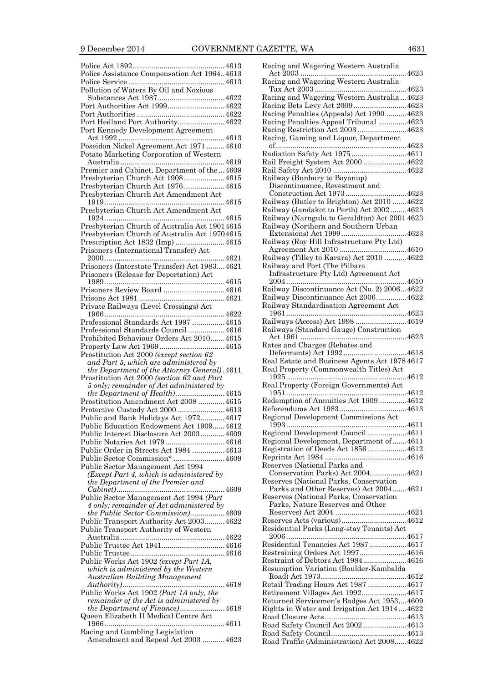| Police Assistance Compensation Act 19644613                            |  |
|------------------------------------------------------------------------|--|
|                                                                        |  |
| Pollution of Waters By Oil and Noxious                                 |  |
|                                                                        |  |
|                                                                        |  |
| Port Authorities Act 19994622                                          |  |
|                                                                        |  |
| Port Hedland Port Authority4622                                        |  |
|                                                                        |  |
| Port Kennedy Development Agreement                                     |  |
|                                                                        |  |
| Poseidon Nickel Agreement Act 1971  4610                               |  |
| Potato Marketing Corporation of Western                                |  |
|                                                                        |  |
|                                                                        |  |
| Premier and Cabinet, Department of the  4609                           |  |
| Presbyterian Church Act 19084615                                       |  |
| Presbyterian Church Act 19764615                                       |  |
| Presbyterian Church Act Amendment Act                                  |  |
|                                                                        |  |
|                                                                        |  |
| Presbyterian Church Act Amendment Act                                  |  |
|                                                                        |  |
| Presbyterian Church of Australia Act 19014615                          |  |
| Presbyterian Church of Australia Act 19704615                          |  |
| Prescription Act 1832 (Imp) 4615                                       |  |
|                                                                        |  |
| Prisoners (International Transfer) Act                                 |  |
|                                                                        |  |
| Prisoners (Interstate Transfer) Act 19834621                           |  |
| Prisoners (Release for Deportation) Act                                |  |
|                                                                        |  |
|                                                                        |  |
| Prisoners Review Board 4616                                            |  |
|                                                                        |  |
| Private Railways (Level Crossings) Act                                 |  |
|                                                                        |  |
|                                                                        |  |
| Professional Standards Act 1997 4615                                   |  |
| Professional Standards Council  4616                                   |  |
| Prohibited Behaviour Orders Act 2010 4615                              |  |
|                                                                        |  |
|                                                                        |  |
|                                                                        |  |
| Prostitution Act 2000 (except section 62                               |  |
| and Part 5, which are administered by                                  |  |
|                                                                        |  |
| the Department of the Attorney General). 4611                          |  |
| Prostitution Act 2000 (section 62 and Part                             |  |
| 5 only; remainder of Act administered by                               |  |
| the Department of Health)4615                                          |  |
| Prostitution Amendment Act 2008  4615                                  |  |
|                                                                        |  |
| Protective Custody Act 2000 4613                                       |  |
| Public and Bank Holidays Act 1972 4617                                 |  |
| Public Education Endowment Act 19094612                                |  |
| Public Interest Disclosure Act 2003 4609                               |  |
|                                                                        |  |
| Public Notaries Act 19794616                                           |  |
| Public Order in Streets Act 1984  4613                                 |  |
| Public Sector Commission* 4609                                         |  |
| Public Sector Management Act 1994                                      |  |
| (Except Part 4, which is administered by                               |  |
|                                                                        |  |
| the Department of the Premier and                                      |  |
|                                                                        |  |
| Public Sector Management Act 1994 (Part                                |  |
| 4 only; remainder of Act administered by                               |  |
| the Public Sector Commission)4609                                      |  |
|                                                                        |  |
| Public Transport Authority Act 2003 4622                               |  |
| Public Transport Authority of Western                                  |  |
|                                                                        |  |
| Public Trustee Act 19414616                                            |  |
|                                                                        |  |
|                                                                        |  |
| Public Works Act 1902 (except Part 1A,                                 |  |
| which is administered by the Western                                   |  |
| <b>Australian Building Management</b>                                  |  |
|                                                                        |  |
| Public Works Act 1902 (Part 1A only, the                               |  |
| remainder of the Act is administered by                                |  |
|                                                                        |  |
| the Department of Finance)4618                                         |  |
| Queen Elizabeth II Medical Centre Act                                  |  |
| 4611                                                                   |  |
| Racing and Gambling Legislation<br>Amendment and Repeal Act 2003  4623 |  |

| Racing and Wagering Western Australia                                              |
|------------------------------------------------------------------------------------|
| Racing and Wagering Western Australia                                              |
| Racing and Wagering Western Australia  4623<br>Racing Bets Levy Act 20094623       |
| Racing Penalties (Appeals) Act 1990 4623                                           |
| Racing Penalties Appeal Tribunal 4623                                              |
| Racing Restriction Act 2003 4623                                                   |
| Racing, Gaming and Liquor, Department                                              |
| Radiation Safety Act 1975 4611                                                     |
| Rail Freight System Act 2000 4622                                                  |
|                                                                                    |
| Railway (Bunbury to Boyanup)<br>Discontinuance, Revestment and                     |
| Construction Act 19734623                                                          |
| Railway (Butler to Brighton) Act 2010 4622                                         |
| Railway (Jandakot to Perth) Act 20024623                                           |
| Railway (Narngulu to Geraldton) Act 2001 4623                                      |
| Railway (Northern and Southern Urban                                               |
| Railway (Roy Hill Infrastructure Pty Ltd)                                          |
|                                                                                    |
| Railway (Tilley to Karara) Act 2010 4622                                           |
| Railway and Port (The Pilbara                                                      |
| Infrastructure Pty Ltd) Agreement Act                                              |
|                                                                                    |
| Railway Discontinuance Act (No. 2) 20064622<br>Railway Discontinuance Act 20064622 |
| Railway Standardisation Agreement Act                                              |
|                                                                                    |
| Railways (Access) Act 1998 4619                                                    |
| Railways (Standard Gauge) Construction                                             |
|                                                                                    |
| Rates and Charges (Rebates and                                                     |
| Deferments) Act 19924618<br>Real Estate and Business Agents Act 1978 4617          |
| Real Property (Commonwealth Titles) Act                                            |
| Real Property (Foreign Governments) Act                                            |
| Redemption of Annuities Act 19094612                                               |
|                                                                                    |
| Regional Development Commissions Act                                               |
|                                                                                    |
| Regional Development Council 4611                                                  |
| Regional Development, Department of4611                                            |
| Registration of Deeds Act 1856 4612                                                |
|                                                                                    |
| Reserves (National Parks and<br>Conservation Parks) Act 20044621                   |
| Reserves (National Parks, Conservation                                             |
| Parks and Other Reserves) Act 20044621                                             |
| Reserves (National Parks, Conservation                                             |
| Parks, Nature Reserves and Other                                                   |
|                                                                                    |
|                                                                                    |
|                                                                                    |
| Residential Parks (Long-stay Tenants) Act                                          |
|                                                                                    |
| Residential Tenancies Act 1987 4617<br>Restraining Orders Act 19974616             |
| Restraint of Debtors Act 1984 4616                                                 |
| Resumption Variation (Boulder-Kambalda                                             |
|                                                                                    |
| Retail Trading Hours Act 1987 4617                                                 |
| Retirement Villages Act 19924617                                                   |
| Returned Servicemen's Badges Act 19534609                                          |
| Rights in Water and Irrigation Act 19144622                                        |
| Road Safety Council Act 2002 4613                                                  |
| Road Traffic (Administration) Act 20084622                                         |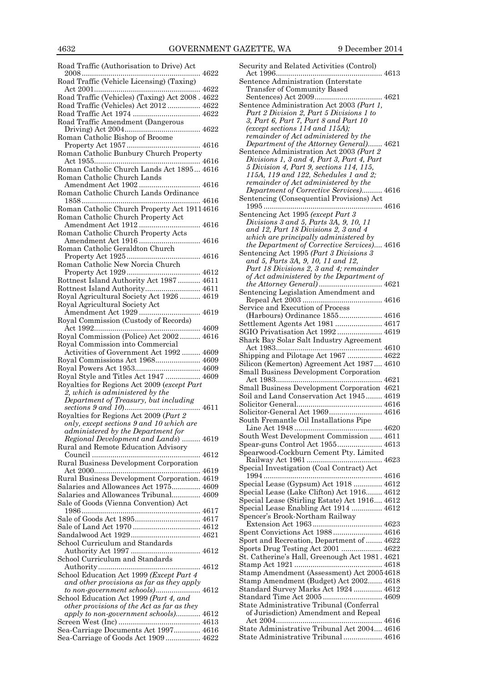Road Traffic (Authorisation to Drive) Act 2008.......................................................... 4622 Road Traffic (Vehicle Licensing) (Taxing) Act 2001.................................................... 4622 Road Traffic (Vehicles) (Taxing) Act 2008 . 4622 Road Traffic (Vehicles) Act 2012 ................ 4622 Road Traffic Act 1974 ................................. 4622 Road Traffic Amendment (Dangerous Driving) Act 2004..................................... 4622 Roman Catholic Bishop of Broome Property Act 1957 .................................... 4616 Roman Catholic Bunbury Church Property Act 1955.................................................... 4616 Roman Catholic Church Lands Act 1895... 4616 Roman Catholic Church Lands Amendment Act 1902 .............................. 4616 Roman Catholic Church Lands Ordinance 1858.......................................................... 4616 Roman Catholic Church Property Act 19114616 Roman Catholic Church Property Act Amendment Act 1912 .............................. 4616 Roman Catholic Church Property Acts Amendment Act 1916 .............................. 4616 Roman Catholic Geraldton Church Property Act 1925 .................................... 4616 Roman Catholic New Norcia Church Property Act 1929 .................................... 4612 Rottnest Island Authority Act 1987 ........... 4611 Rottnest Island Authority........................... 4611 Royal Agricultural Society Act 1926 .......... 4619 Royal Agricultural Society Act Amendment Act 1929 .............................. 4619 Royal Commission (Custody of Records) Act 1992.................................................... 4609 Royal Commission (Police) Act 2002 .......... 4616 Royal Commission into Commercial Activities of Government Act 1992 ......... 4609 Royal Commissions Act 1968...................... 4609 Royal Powers Act 1953................................ 4609 Royal Style and Titles Act 1947 ................. 4609 Royalties for Regions Act 2009 (*except Part 2, which is administered by the Department of Treasury, but including sections 9 and 10*)..................................... 4611 Royalties for Regions Act 2009 (*Part 2 only, except sections 9 and 10 which are administered by the Department for Regional Development and Lands*) ......... 4619 Rural and Remote Education Advisory Council ..................................................... 4612 Rural Business Development Corporation Act 2000.................................................... 4619 Rural Business Development Corporation. 4619 Salaries and Allowances Act 1975.............. 4609 Salaries and Allowances Tribunal.............. 4609 Sale of Goods (Vienna Convention) Act 1986.......................................................... 4617 Sale of Goods Act 1895................................ 4617 Sale of Land Act 1970 ................................. 4612 Sandalwood Act 1929.................................. 4621 School Curriculum and Standards Authority Act 1997 .................................. 4612 School Curriculum and Standards Authority.................................................. 4612 School Education Act 1999 *(Except Part 4 and other provisions as far as they apply to non-government schools)*...................... 4612 School Education Act 1999 *(Part 4, and other provisions of the Act as far as they apply to non-government schools)*............ 4612 Screen West (Inc) ........................................ 4613 Sea-Carriage Documents Act 1997............. 4616 Sea-Carriage of Goods Act 1909 ................. 4622 Security and Related Activities (Control) Act 1996.................................................... 4613 Sentence Administration (Interstate Transfer of Community Based Sentences) Act 2009................................. 4621 Sentence Administration Act 2003 *(Part 1, Part 2 Division 2, Part 5 Divisions 1 to 3, Part 6, Part 7, Part 8 and Part 10 (except sections 114 and 115A); remainder of Act administered by the Department of the Attorney General)*....... 4621 Sentence Administration Act 2003 *(Part 2 Divisions 1, 3 and 4, Part 3, Part 4, Part 5 Division 4, Part 9, sections 114, 115, 115A, 119 and 122, Schedules 1 and 2; remainder of Act administered by the Department of Corrective Services)*.......... 4616 Sentencing (Consequential Provisions) Act 1995 .......................................................... 4616 Sentencing Act 1995 *(except Part 3 Divisions 3 and 5, Parts 3A, 9, 10, 11 and 12, Part 18 Divisions 2, 3 and 4 which are principally administered by the Department of Corrective Services)*.... 4616 Sentencing Act 1995 *(Part 3 Divisions 3 and 5, Parts 3A, 9, 10, 11 and 12, Part 18 Divisions 2, 3 and 4; remainder of Act administered by the Department of the Attorney General)*............................... 4621 Sentencing Legislation Amendment and Repeal Act 2003 ....................................... 4616 Service and Execution of Process (Harbours) Ordinance 1855..................... 4616 Settlement Agents Act 1981 ....................... 4617 SGIO Privatisation Act 1992 ...................... 4619 Shark Bay Solar Salt Industry Agreement Act 1983.................................................... 4610 Shipping and Pilotage Act 1967 ................. 4622 Silicon (Kemerton) Agreement Act 1987.... 4610 Small Business Development Corporation Act 1983.................................................... 4621 Small Business Development Corporation 4621 Soil and Land Conservation Act 1945........ 4619 Solicitor General.......................................... 4616 Solicitor-General Act 1969.......................... 4616 South Fremantle Oil Installations Pipe Line Act 1948 ........................................... 4620 South West Development Commission ...... 4611 Spear-guns Control Act 1955...................... 4613 Spearwood-Cockburn Cement Pty. Limited Railway Act 1961 ..................................... 4623 Special Investigation (Coal Contract) Act 1994 .......................................................... 4616 Special Lease (Gypsum) Act 1918 .............. 4612 Special Lease (Lake Clifton) Act 1916........ 4612 Special Lease (Stirling Estate) Act 1916.... 4612 Special Lease Enabling Act 1914 ............... 4612 Spencer's Brook-Northam Railway Extension Act 1963 .................................. 4623 Spent Convictions Act 1988 ........................ 4616 Sport and Recreation, Department of ........ 4622 Sports Drug Testing Act 2001 .................... 4622 St. Catherine's Hall, Greenough Act 1981 . 4621 Stamp Act 1921 ........................................... 4618 Stamp Amendment (Assessment) Act 20054618 Stamp Amendment (Budget) Act 2002....... 4618 Standard Survey Marks Act 1924 .............. 4612 Standard Time Act 2005 ............................. 4609 State Administrative Tribunal (Conferral of Jurisdiction) Amendment and Repeal Act 2004.................................................... 4616 State Administrative Tribunal Act 2004.... 4616 State Administrative Tribunal ................... 4616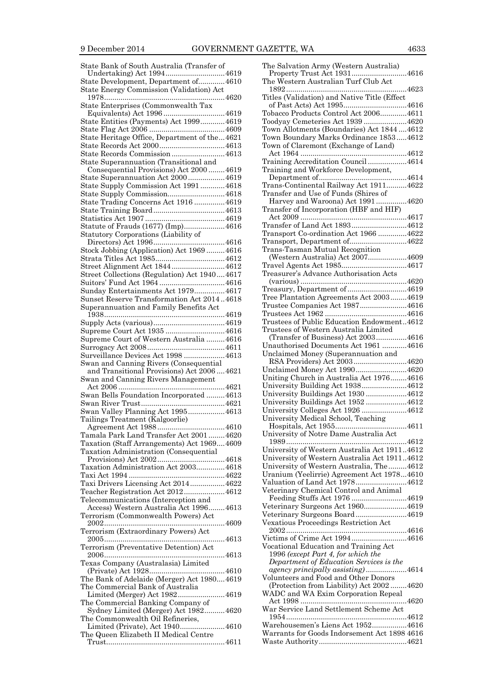| State Bank of South Australia (Transfer of   |  |
|----------------------------------------------|--|
|                                              |  |
| State Development, Department of 4610        |  |
| State Energy Commission (Validation) Act     |  |
|                                              |  |
| State Enterprises (Commonwealth Tax          |  |
|                                              |  |
| State Entities (Payments) Act 1999 4619      |  |
|                                              |  |
| State Heritage Office, Department of the4621 |  |
|                                              |  |
| State Records Commission4613                 |  |
| State Superannuation (Transitional and       |  |
| Consequential Provisions) Act 2000  4619     |  |
| State Superannuation Act 20004619            |  |
| State Supply Commission Act 1991 4618        |  |
| State Supply Commission4618                  |  |
|                                              |  |
| State Trading Concerns Act 1916 4619         |  |
|                                              |  |
|                                              |  |
| Statute of Frauds (1677) (Imp)4616           |  |
| Statutory Corporations (Liability of         |  |
|                                              |  |
| Stock Jobbing (Application) Act 1969 4616    |  |
|                                              |  |
| Street Alignment Act 18444612                |  |
| Street Collections (Regulation) Act 19404617 |  |
|                                              |  |
| Sunday Entertainments Act 1979 4617          |  |
| Sunset Reserve Transformation Act 20144618   |  |
| Superannuation and Family Benefits Act       |  |
|                                              |  |
|                                              |  |
|                                              |  |
| Supreme Court Act 1935  4616                 |  |
|                                              |  |
| Supreme Court of Western Australia  4616     |  |
|                                              |  |
| Surveillance Devices Act 1998 4613           |  |
|                                              |  |
| Swan and Canning Rivers (Consequential       |  |
| and Transitional Provisions) Act 20064621    |  |
| Swan and Canning Rivers Management           |  |
|                                              |  |
| Swan Bells Foundation Incorporated 4613      |  |
|                                              |  |
| Swan Valley Planning Act 19954613            |  |
| Tailings Treatment (Kalgoorlie)              |  |
|                                              |  |
| Tamala Park Land Transfer Act 20014620       |  |
| Taxation (Staff Arrangements) Act 19694609   |  |
| Taxation Administration (Consequential       |  |
|                                              |  |
| Taxation Administration Act 2003 4618        |  |
|                                              |  |
| Taxi Drivers Licensing Act 2014 4622         |  |
| Teacher Registration Act 2012 4612           |  |
|                                              |  |
| Telecommunications (Interception and         |  |
| Access) Western Australia Act 19964613       |  |
| Terrorism (Commonwealth Powers) Act          |  |
|                                              |  |
| Terrorism (Extraordinary Powers) Act         |  |
|                                              |  |
| Terrorism (Preventative Detention) Act       |  |
|                                              |  |
| Texas Company (Australasia) Limited          |  |
|                                              |  |
| The Bank of Adelaide (Merger) Act 19804619   |  |
| The Commercial Bank of Australia             |  |
| Limited (Merger) Act 19824619                |  |
| The Commercial Banking Company of            |  |
| Sydney Limited (Merger) Act 1982 4620        |  |
| The Commonwealth Oil Refineries,             |  |
| Limited (Private), Act 19404610              |  |
| The Queen Elizabeth II Medical Centre        |  |

| The Salvation Army (Western Australia)                                         |
|--------------------------------------------------------------------------------|
| Property Trust Act 19314616<br>The Western Australian Turf Club Act            |
|                                                                                |
| Titles (Validation) and Native Title (Effect                                   |
|                                                                                |
| Tobacco Products Control Act 20064611                                          |
| Toodyay Cemeteries Act 1939 4620                                               |
| Town Allotments (Boundaries) Act 18444612                                      |
| Town Boundary Marks Ordinance 18534612<br>Town of Claremont (Exchange of Land) |
|                                                                                |
| Training Accreditation Council4614                                             |
| Training and Workforce Development,                                            |
|                                                                                |
| Trans-Continental Railway Act 19114622                                         |
| Transfer and Use of Funds (Shires of<br>Harvey and Waroona) Act 19914620       |
| Transfer of Incorporation (HBF and HIF)                                        |
|                                                                                |
| Transfer of Land Act 18934612                                                  |
| Transport Co-ordination Act 1966 4622                                          |
| Transport, Department of4622                                                   |
| Trans-Tasman Mutual Recognition                                                |
| (Western Australia) Act 20074609                                               |
| Travel Agents Act 19854617<br>Treasurer's Advance Authorisation Acts           |
|                                                                                |
| Treasury, Department of 4619                                                   |
| Tree Plantation Agreements Act 20034619                                        |
| Trustee Companies Act 19874616                                                 |
|                                                                                |
| Trustees of Public Education Endowment4612                                     |
| Trustees of Western Australia Limited                                          |
| (Transfer of Business) Act 20034616                                            |
|                                                                                |
| Unauthorised Documents Act 1961 4616                                           |
| Unclaimed Money (Superannuation and                                            |
| RSA Providers) Act 20034620                                                    |
| Unclaimed Money Act 19904620<br>Uniting Church in Australia Act 19764616       |
| University Building Act 19384612                                               |
| University Buildings Act 1930 4612                                             |
| University Buildings Act 1952 4612                                             |
| University Colleges Act 1926 4612                                              |
| University Medical School, Teaching                                            |
| Hospitals, Act 1955<br>4611                                                    |
| University of Notre Dame Australia Act                                         |
| University of Western Australia Act 19114612                                   |
| University of Western Australia Act 19114612                                   |
| University of Western Australia, The4612                                       |
| Uranium (Yeelirrie) Agreement Act 19784610                                     |
| Valuation of Land Act 19784612                                                 |
| Veterinary Chemical Control and Animal                                         |
| Feeding Stuffs Act 1976 4619                                                   |
| Veterinary Surgeons Act 19604619<br>Veterinary Surgeons Board4619              |
| Vexatious Proceedings Restriction Act                                          |
|                                                                                |
| Victims of Crime Act 19944616                                                  |
| Vocational Education and Training Act                                          |
| 1996 (except Part 4, for which the                                             |
| Department of Education Services is the<br>agency principally assisting)4614   |
| Volunteers and Food and Other Donors                                           |
| (Protection from Liability) Act 20024620                                       |
| WADC and WA Exim Corporation Repeal                                            |
|                                                                                |
| War Service Land Settlement Scheme Act                                         |
| Warehousemen's Liens Act 19524616                                              |
| Warrants for Goods Indorsement Act 1898 4616                                   |